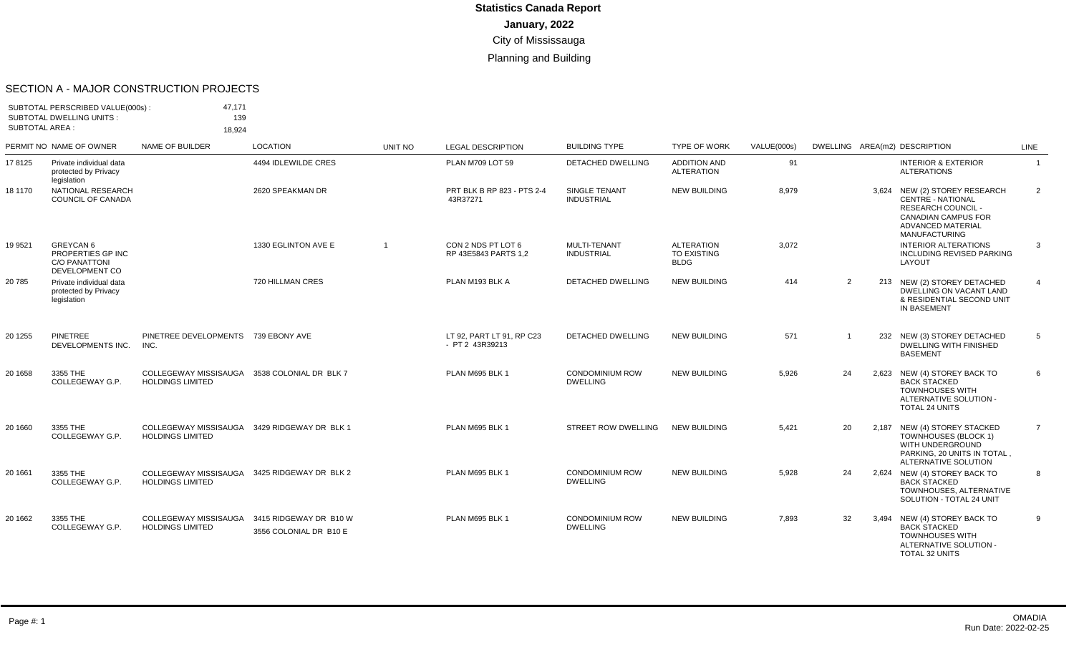#### SECTION A - MAJOR CONSTRUCTION PROJECTS

| <b>SUBTOTAL AREA:</b> | SUBTOTAL PERSCRIBED VALUE(000s):<br><b>SUBTOTAL DWELLING UNITS:</b>      | 47.171<br>139<br>18,924                                                 |                                                  |                |                                              |                                           |                                                        |             |                |       |                                                                                                                                                      |                |
|-----------------------|--------------------------------------------------------------------------|-------------------------------------------------------------------------|--------------------------------------------------|----------------|----------------------------------------------|-------------------------------------------|--------------------------------------------------------|-------------|----------------|-------|------------------------------------------------------------------------------------------------------------------------------------------------------|----------------|
|                       | PERMIT NO NAME OF OWNER                                                  | NAME OF BUILDER                                                         | <b>LOCATION</b>                                  | <b>UNIT NO</b> | <b>LEGAL DESCRIPTION</b>                     | <b>BUILDING TYPE</b>                      | <b>TYPE OF WORK</b>                                    | VALUE(000s) |                |       | DWELLING AREA(m2) DESCRIPTION                                                                                                                        | <b>LINE</b>    |
| 178125                | Private individual data<br>protected by Privacy<br>legislation           |                                                                         | 4494 IDLEWILDE CRES                              |                | PLAN M709 LOT 59                             | DETACHED DWELLING                         | <b>ADDITION AND</b><br><b>ALTERATION</b>               | 91          |                |       | <b>INTERIOR &amp; EXTERIOR</b><br><b>ALTERATIONS</b>                                                                                                 | $\overline{1}$ |
| 18 1170               | NATIONAL RESEARCH<br><b>COUNCIL OF CANADA</b>                            |                                                                         | 2620 SPEAKMAN DR                                 |                | PRT BLK B RP 823 - PTS 2-4<br>43R37271       | SINGLE TENANT<br><b>INDUSTRIAL</b>        | <b>NEW BUILDING</b>                                    | 8,979       |                | 3.624 | NEW (2) STOREY RESEARCH<br><b>CENTRE - NATIONAL</b><br>RESEARCH COUNCIL -<br><b>CANADIAN CAMPUS FOR</b><br>ADVANCED MATERIAL<br><b>MANUFACTURING</b> | $\overline{2}$ |
| 19 9521               | GREYCAN 6<br>PROPERTIES GP INC<br><b>C/O PANATTONI</b><br>DEVELOPMENT CO |                                                                         | 1330 EGLINTON AVE E                              | $\overline{1}$ | CON 2 NDS PT LOT 6<br>RP 43E5843 PARTS 1,2   | MULTI-TENANT<br><b>INDUSTRIAL</b>         | <b>ALTERATION</b><br><b>TO EXISTING</b><br><b>BLDG</b> | 3,072       |                |       | <b>INTERIOR ALTERATIONS</b><br><b>INCLUDING REVISED PARKING</b><br>LAYOUT                                                                            | 3              |
| 20785                 | Private individual data<br>protected by Privacy<br>legislation           |                                                                         | 720 HILLMAN CRES                                 |                | PLAN M193 BLK A                              | <b>DETACHED DWELLING</b>                  | <b>NEW BUILDING</b>                                    | 414         | 2              |       | 213 NEW (2) STOREY DETACHED<br>DWELLING ON VACANT LAND<br>& RESIDENTIAL SECOND UNIT<br>IN BASEMENT                                                   | $\overline{4}$ |
| 20 1255               | <b>PINETREE</b><br>DEVELOPMENTS INC.                                     | PINETREE DEVELOPMENTS 739 EBONY AVE<br>INC.                             |                                                  |                | LT 92, PART LT 91, RP C23<br>- PT 2 43R39213 | <b>DETACHED DWELLING</b>                  | <b>NEW BUILDING</b>                                    | 571         | $\overline{1}$ |       | 232 NEW (3) STOREY DETACHED<br><b>DWELLING WITH FINISHED</b><br><b>BASEMENT</b>                                                                      | 5              |
| 20 1658               | 3355 THE<br>COLLEGEWAY G.P.                                              | COLLEGEWAY MISSISAUGA<br><b>HOLDINGS LIMITED</b>                        | 3538 COLONIAL DR BLK 7                           |                | PLAN M695 BLK 1                              | <b>CONDOMINIUM ROW</b><br><b>DWELLING</b> | <b>NEW BUILDING</b>                                    | 5,926       | 24             | 2.623 | NEW (4) STOREY BACK TO<br><b>BACK STACKED</b><br><b>TOWNHOUSES WITH</b><br>ALTERNATIVE SOLUTION -<br>TOTAL 24 UNITS                                  | 6              |
| 20 1660               | 3355 THE<br>COLLEGEWAY G.P.                                              | COLLEGEWAY MISSISAUGA 3429 RIDGEWAY DR BLK 1<br><b>HOLDINGS LIMITED</b> |                                                  |                | PLAN M695 BLK 1                              | <b>STREET ROW DWELLING</b>                | <b>NEW BUILDING</b>                                    | 5,421       | 20             |       | 2,187 NEW (4) STOREY STACKED<br>TOWNHOUSES (BLOCK 1)<br>WITH UNDERGROUND<br>PARKING, 20 UNITS IN TOTAL,<br>ALTERNATIVE SOLUTION                      | $\overline{7}$ |
| 20 16 61              | 3355 THE<br>COLLEGEWAY G.P.                                              | COLLEGEWAY MISSISAUGA<br><b>HOLDINGS LIMITED</b>                        | 3425 RIDGEWAY DR BLK 2                           |                | PLAN M695 BLK 1                              | <b>CONDOMINIUM ROW</b><br><b>DWELLING</b> | <b>NEW BUILDING</b>                                    | 5,928       | 24             |       | 2,624 NEW (4) STOREY BACK TO<br><b>BACK STACKED</b><br>TOWNHOUSES, ALTERNATIVE<br>SOLUTION - TOTAL 24 UNIT                                           | 8              |
| 20 1662               | 3355 THE<br>COLLEGEWAY G.P.                                              | COLLEGEWAY MISSISAUGA<br><b>HOLDINGS LIMITED</b>                        | 3415 RIDGEWAY DR B10 W<br>3556 COLONIAL DR B10 E |                | PLAN M695 BLK 1                              | <b>CONDOMINIUM ROW</b><br><b>DWELLING</b> | <b>NEW BUILDING</b>                                    | 7,893       | 32             |       | 3,494 NEW (4) STOREY BACK TO<br><b>BACK STACKED</b><br><b>TOWNHOUSES WITH</b><br>ALTERNATIVE SOLUTION -<br>TOTAL 32 UNITS                            | 9              |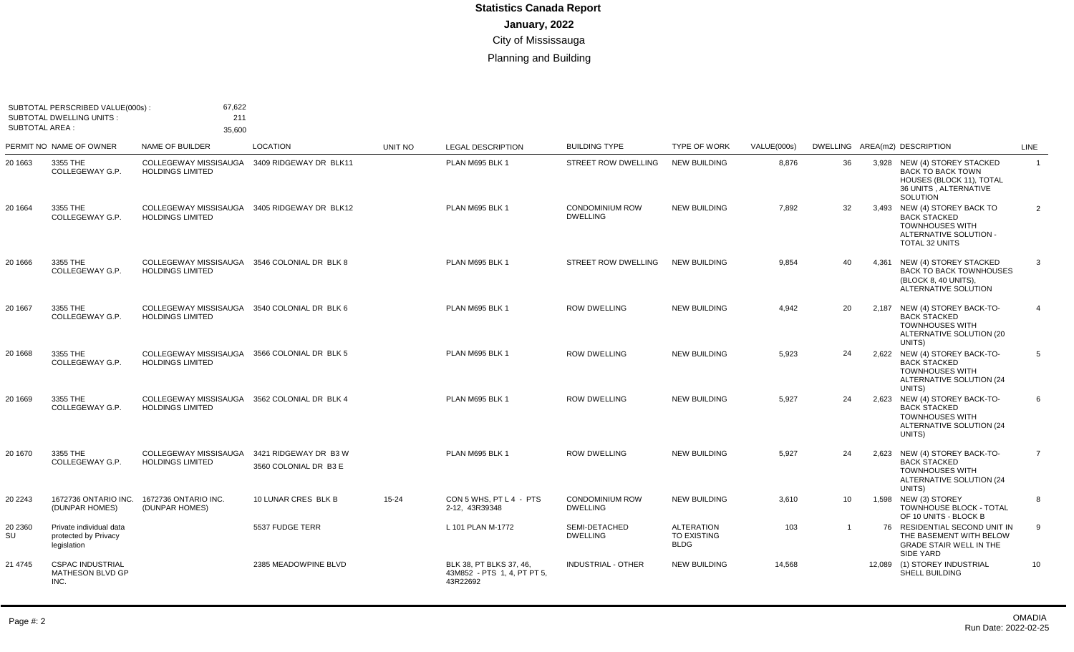| SUBTOTAL AREA : | SUBTOTAL PERSCRIBED VALUE(000s):<br><b>SUBTOTAL DWELLING UNITS:</b> | 67,622<br>211<br>35,600                                                 |                                                |           |                                                                    |                                           |                                                 |             |                 |                                                                                                                                   |                |
|-----------------|---------------------------------------------------------------------|-------------------------------------------------------------------------|------------------------------------------------|-----------|--------------------------------------------------------------------|-------------------------------------------|-------------------------------------------------|-------------|-----------------|-----------------------------------------------------------------------------------------------------------------------------------|----------------|
|                 | PERMIT NO NAME OF OWNER                                             | NAME OF BUILDER                                                         | LOCATION                                       | UNIT NO   | <b>LEGAL DESCRIPTION</b>                                           | <b>BUILDING TYPE</b>                      | <b>TYPE OF WORK</b>                             | VALUE(000s) |                 | DWELLING AREA(m2) DESCRIPTION                                                                                                     | <b>LINE</b>    |
| 20 1663         | 3355 THE<br>COLLEGEWAY G.P.                                         | COLLEGEWAY MISSISAUGA<br><b>HOLDINGS LIMITED</b>                        | 3409 RIDGEWAY DR BLK11                         |           | PLAN M695 BLK 1                                                    | <b>STREET ROW DWELLING</b>                | <b>NEW BUILDING</b>                             | 8,876       | 36              | 3,928 NEW (4) STOREY STACKED<br><b>BACK TO BACK TOWN</b><br>HOUSES (BLOCK 11), TOTAL<br>36 UNITS . ALTERNATIVE<br><b>SOLUTION</b> | $\mathbf{1}$   |
| 20 16 64        | 3355 THE<br>COLLEGEWAY G.P.                                         | COLLEGEWAY MISSISAUGA 3405 RIDGEWAY DR BLK12<br><b>HOLDINGS LIMITED</b> |                                                |           | PLAN M695 BLK 1                                                    | <b>CONDOMINIUM ROW</b><br><b>DWELLING</b> | <b>NEW BUILDING</b>                             | 7.892       | 32              | 3,493 NEW (4) STOREY BACK TO<br><b>BACK STACKED</b><br><b>TOWNHOUSES WITH</b><br>ALTERNATIVE SOLUTION -<br>TOTAL 32 UNITS         | $\overline{2}$ |
| 20 1666         | 3355 THE<br>COLLEGEWAY G.P.                                         | COLLEGEWAY MISSISAUGA 3546 COLONIAL DR BLK 8<br><b>HOLDINGS LIMITED</b> |                                                |           | PLAN M695 BLK 1                                                    | <b>STREET ROW DWELLING</b>                | <b>NEW BUILDING</b>                             | 9,854       | 40              | 4,361 NEW (4) STOREY STACKED<br><b>BACK TO BACK TOWNHOUSES</b><br>(BLOCK 8, 40 UNITS),<br>ALTERNATIVE SOLUTION                    | 3              |
| 20 16 67        | 3355 THE<br>COLLEGEWAY G.P.                                         | COLLEGEWAY MISSISAUGA 3540 COLONIAL DR BLK 6<br><b>HOLDINGS LIMITED</b> |                                                |           | PLAN M695 BLK 1                                                    | <b>ROW DWELLING</b>                       | <b>NEW BUILDING</b>                             | 4,942       | 20              | 2,187 NEW (4) STOREY BACK-TO-<br><b>BACK STACKED</b><br><b>TOWNHOUSES WITH</b><br>ALTERNATIVE SOLUTION (20<br>UNITS)              | $\overline{4}$ |
| 20 1668         | 3355 THE<br>COLLEGEWAY G.P.                                         | COLLEGEWAY MISSISAUGA 3566 COLONIAL DR BLK 5<br><b>HOLDINGS LIMITED</b> |                                                |           | PLAN M695 BLK 1                                                    | <b>ROW DWELLING</b>                       | <b>NEW BUILDING</b>                             | 5,923       | 24              | 2,622 NEW (4) STOREY BACK-TO-<br><b>BACK STACKED</b><br><b>TOWNHOUSES WITH</b><br>ALTERNATIVE SOLUTION (24<br>UNITS)              | 5              |
| 20 1669         | 3355 THE<br>COLLEGEWAY G.P.                                         | COLLEGEWAY MISSISAUGA 3562 COLONIAL DR BLK 4<br><b>HOLDINGS LIMITED</b> |                                                |           | PLAN M695 BLK 1                                                    | <b>ROW DWELLING</b>                       | <b>NEW BUILDING</b>                             | 5,927       | 24              | 2,623 NEW (4) STOREY BACK-TO-<br><b>BACK STACKED</b><br><b>TOWNHOUSES WITH</b><br>ALTERNATIVE SOLUTION (24<br>UNITS)              | 6              |
| 20 1670         | 3355 THE<br>COLLEGEWAY G.P.                                         | COLLEGEWAY MISSISAUGA<br><b>HOLDINGS LIMITED</b>                        | 3421 RIDGEWAY DR B3 W<br>3560 COLONIAL DR B3 E |           | PLAN M695 BLK 1                                                    | <b>ROW DWELLING</b>                       | <b>NEW BUILDING</b>                             | 5,927       | 24              | 2,623 NEW (4) STOREY BACK-TO-<br><b>BACK STACKED</b><br><b>TOWNHOUSES WITH</b><br>ALTERNATIVE SOLUTION (24<br>UNITS)              | $\overline{7}$ |
| 20 2243         | 1672736 ONTARIO INC.<br>(DUNPAR HOMES)                              | 1672736 ONTARIO INC.<br>(DUNPAR HOMES)                                  | 10 LUNAR CRES BLK B                            | $15 - 24$ | CON 5 WHS, PT L 4 - PTS<br>2-12, 43R39348                          | <b>CONDOMINIUM ROW</b><br><b>DWELLING</b> | <b>NEW BUILDING</b>                             | 3,610       | 10 <sup>°</sup> | 1,598 NEW (3) STOREY<br>TOWNHOUSE BLOCK - TOTAL<br>OF 10 UNITS - BLOCK B                                                          | 8              |
| 20 2360<br>SU   | Private individual data<br>protected by Privacy<br>legislation      |                                                                         | 5537 FUDGE TERR                                |           | L 101 PLAN M-1772                                                  | SEMI-DETACHED<br><b>DWELLING</b>          | <b>ALTERATION</b><br>TO EXISTING<br><b>BLDG</b> | 103         | $\overline{1}$  | 76 RESIDENTIAL SECOND UNIT IN<br>THE BASEMENT WITH BELOW<br><b>GRADE STAIR WELL IN THE</b><br>SIDE YARD                           | 9              |
| 21 4745         | <b>CSPAC INDUSTRIAL</b><br>MATHESON BLVD GP<br>INC.                 |                                                                         | 2385 MEADOWPINE BLVD                           |           | BLK 38, PT BLKS 37, 46,<br>43M852 - PTS 1, 4, PT PT 5,<br>43R22692 | <b>INDUSTRIAL - OTHER</b>                 | <b>NEW BUILDING</b>                             | 14,568      |                 | 12,089 (1) STOREY INDUSTRIAL<br>SHELL BUILDING                                                                                    | 10             |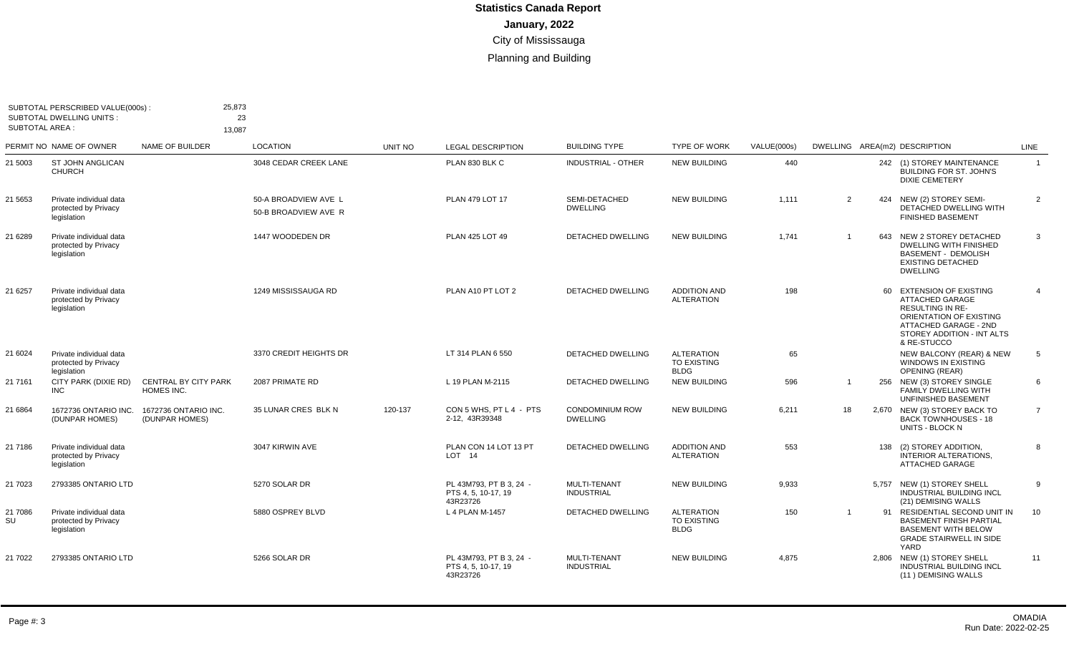| <b>SUBTOTAL AREA:</b> | SUBTOTAL PERSCRIBED VALUE(000s):<br><b>SUBTOTAL DWELLING UNITS:</b> | 25,873<br>23<br>13.087                    |                                              |         |                                                            |                                           |                                                 |             |              |     |                                                                                                                                                                                |                |
|-----------------------|---------------------------------------------------------------------|-------------------------------------------|----------------------------------------------|---------|------------------------------------------------------------|-------------------------------------------|-------------------------------------------------|-------------|--------------|-----|--------------------------------------------------------------------------------------------------------------------------------------------------------------------------------|----------------|
|                       | PERMIT NO NAME OF OWNER                                             | NAME OF BUILDER                           | <b>LOCATION</b>                              | UNIT NO | <b>LEGAL DESCRIPTION</b>                                   | <b>BUILDING TYPE</b>                      | <b>TYPE OF WORK</b>                             | VALUE(000s) |              |     | DWELLING AREA(m2) DESCRIPTION                                                                                                                                                  | LINE           |
| 21 5003               | <b>ST JOHN ANGLICAN</b><br><b>CHURCH</b>                            |                                           | 3048 CEDAR CREEK LANE                        |         | PLAN 830 BLK C                                             | <b>INDUSTRIAL - OTHER</b>                 | <b>NEW BUILDING</b>                             | 440         |              |     | 242 (1) STOREY MAINTENANCE<br><b>BUILDING FOR ST. JOHN'S</b><br><b>DIXIE CEMETERY</b>                                                                                          | $\overline{1}$ |
| 21 5653               | Private individual data<br>protected by Privacy<br>legislation      |                                           | 50-A BROADVIEW AVE L<br>50-B BROADVIEW AVE R |         | <b>PLAN 479 LOT 17</b>                                     | SEMI-DETACHED<br><b>DWELLING</b>          | <b>NEW BUILDING</b>                             | 1.111       | 2            |     | 424 NEW (2) STOREY SEMI-<br>DETACHED DWELLING WITH<br><b>FINISHED BASEMENT</b>                                                                                                 | 2              |
| 21 6289               | Private individual data<br>protected by Privacy<br>legislation      |                                           | 1447 WOODEDEN DR                             |         | PLAN 425 LOT 49                                            | <b>DETACHED DWELLING</b>                  | <b>NEW BUILDING</b>                             | 1,741       |              | 643 | NEW 2 STOREY DETACHED<br><b>DWELLING WITH FINISHED</b><br><b>BASEMENT - DEMOLISH</b><br><b>EXISTING DETACHED</b><br><b>DWELLING</b>                                            | 3              |
| 21 6257               | Private individual data<br>protected by Privacy<br>legislation      |                                           | 1249 MISSISSAUGA RD                          |         | PLAN A10 PT LOT 2                                          | <b>DETACHED DWELLING</b>                  | <b>ADDITION AND</b><br><b>ALTERATION</b>        | 198         |              |     | 60 EXTENSION OF EXISTING<br><b>ATTACHED GARAGE</b><br><b>RESULTING IN RE-</b><br>ORIENTATION OF EXISTING<br>ATTACHED GARAGE - 2ND<br>STOREY ADDITION - INT ALTS<br>& RE-STUCCO | $\overline{4}$ |
| 21 6024               | Private individual data<br>protected by Privacy<br>legislation      |                                           | 3370 CREDIT HEIGHTS DR                       |         | LT 314 PLAN 6 550                                          | <b>DETACHED DWELLING</b>                  | <b>ALTERATION</b><br>TO EXISTING<br><b>BLDG</b> | 65          |              |     | NEW BALCONY (REAR) & NEW<br>WINDOWS IN EXISTING<br><b>OPENING (REAR)</b>                                                                                                       | 5              |
| 21 7161               | CITY PARK (DIXIE RD)<br><b>INC</b>                                  | <b>CENTRAL BY CITY PARK</b><br>HOMES INC. | 2087 PRIMATE RD                              |         | L 19 PLAN M-2115                                           | <b>DETACHED DWELLING</b>                  | <b>NEW BUILDING</b>                             | 596         |              |     | 256 NEW (3) STOREY SINGLE<br><b>FAMILY DWELLING WITH</b><br>UNFINISHED BASEMENT                                                                                                | 6              |
| 21 6864               | 1672736 ONTARIO INC.<br>(DUNPAR HOMES)                              | 1672736 ONTARIO INC.<br>(DUNPAR HOMES)    | 35 LUNAR CRES BLK N                          | 120-137 | CON 5 WHS. PT L 4 - PTS<br>2-12. 43R39348                  | <b>CONDOMINIUM ROW</b><br><b>DWELLING</b> | <b>NEW BUILDING</b>                             | 6,211       | 18           |     | 2,670 NEW (3) STOREY BACK TO<br><b>BACK TOWNHOUSES - 18</b><br>UNITS - BLOCK N                                                                                                 | $\overline{7}$ |
| 21 7186               | Private individual data<br>protected by Privacy<br>legislation      |                                           | 3047 KIRWIN AVE                              |         | PLAN CON 14 LOT 13 PT<br>LOT <sub>14</sub>                 | DETACHED DWELLING                         | <b>ADDITION AND</b><br><b>ALTERATION</b>        | 553         |              | 138 | (2) STOREY ADDITION,<br><b>INTERIOR ALTERATIONS.</b><br>ATTACHED GARAGE                                                                                                        | 8              |
| 21 7023               | 2793385 ONTARIO LTD                                                 |                                           | 5270 SOLAR DR                                |         | PL 43M793, PT B 3, 24 -<br>PTS 4, 5, 10-17, 19<br>43R23726 | MULTI-TENANT<br><b>INDUSTRIAL</b>         | <b>NEW BUILDING</b>                             | 9,933       |              |     | 5,757 NEW (1) STOREY SHELL<br><b>INDUSTRIAL BUILDING INCL</b><br>(21) DEMISING WALLS                                                                                           | 9              |
| 21 7086<br>SU         | Private individual data<br>protected by Privacy<br>legislation      |                                           | 5880 OSPREY BLVD                             |         | L 4 PLAN M-1457                                            | <b>DETACHED DWELLING</b>                  | <b>ALTERATION</b><br>TO EXISTING<br><b>BLDG</b> | 150         | $\mathbf{1}$ |     | 91 RESIDENTIAL SECOND UNIT IN<br><b>BASEMENT FINISH PARTIAL</b><br><b>BASEMENT WITH BELOW</b><br><b>GRADE STAIRWELL IN SIDE</b><br>YARD                                        | 10             |
| 21 7022               | 2793385 ONTARIO LTD                                                 |                                           | 5266 SOLAR DR                                |         | PL 43M793, PT B 3, 24 -<br>PTS 4, 5, 10-17, 19<br>43R23726 | MULTI-TENANT<br><b>INDUSTRIAL</b>         | <b>NEW BUILDING</b>                             | 4,875       |              |     | 2,806 NEW (1) STOREY SHELL<br>INDUSTRIAL BUILDING INCL<br>(11) DEMISING WALLS                                                                                                  | 11             |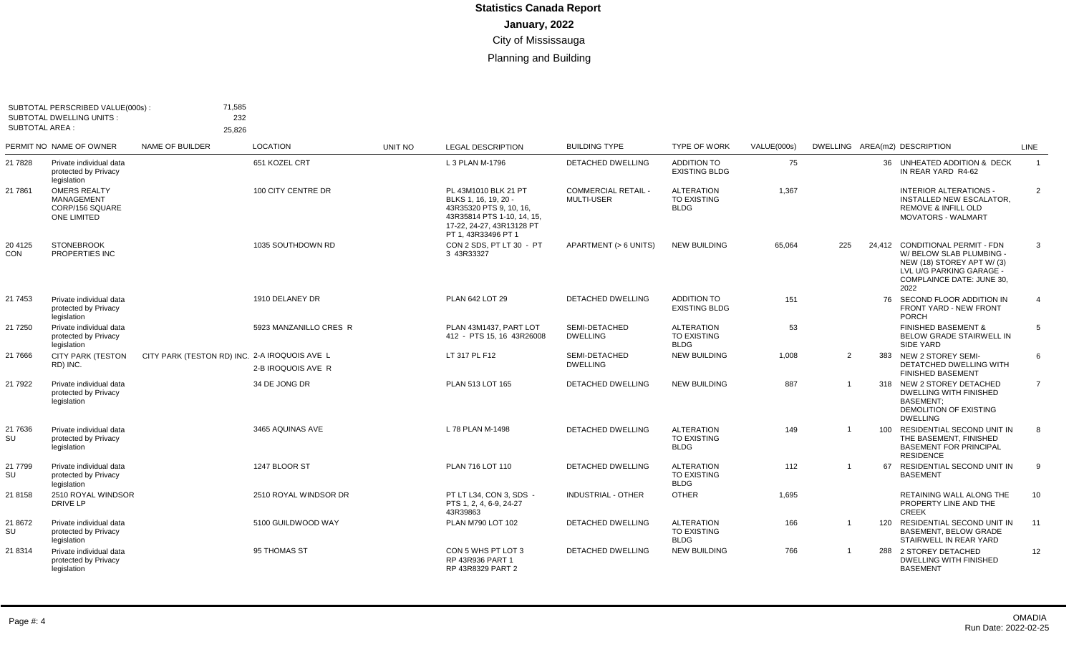| <b>SUBTOTAL DWELLING UNITS:</b><br><b>SUBTOTAL AREA:</b>                   |                        |                                  |                                                                          |                                                                                                                                                         |                                                 |                                                        |                    |                |     |                                                                                                                          |                                                                                                                                                                                                                                                                                                                                             |
|----------------------------------------------------------------------------|------------------------|----------------------------------|--------------------------------------------------------------------------|---------------------------------------------------------------------------------------------------------------------------------------------------------|-------------------------------------------------|--------------------------------------------------------|--------------------|----------------|-----|--------------------------------------------------------------------------------------------------------------------------|---------------------------------------------------------------------------------------------------------------------------------------------------------------------------------------------------------------------------------------------------------------------------------------------------------------------------------------------|
| PERMIT NO NAME OF OWNER                                                    | <b>NAME OF BUILDER</b> | <b>LOCATION</b>                  | UNIT NO                                                                  | <b>LEGAL DESCRIPTION</b>                                                                                                                                | <b>BUILDING TYPE</b>                            | <b>TYPE OF WORK</b>                                    | <b>VALUE(000s)</b> |                |     |                                                                                                                          | <b>LINE</b>                                                                                                                                                                                                                                                                                                                                 |
| Private individual data<br>protected by Privacy<br>legislation             |                        | 651 KOZEL CRT                    |                                                                          | L 3 PLAN M-1796                                                                                                                                         | <b>DETACHED DWELLING</b>                        | <b>ADDITION TO</b><br><b>EXISTING BLDG</b>             | 75                 |                |     | IN REAR YARD R4-62                                                                                                       | $\overline{1}$                                                                                                                                                                                                                                                                                                                              |
| <b>OMERS REALTY</b><br><b>MANAGEMENT</b><br>CORP/156 SQUARE<br>ONE LIMITED |                        | 100 CITY CENTRE DR               |                                                                          | PL 43M1010 BLK 21 PT<br>BLKS 1, 16, 19, 20<br>43R35320 PTS 9, 10, 16,<br>43R35814 PTS 1-10, 14, 15,<br>17-22, 24-27, 43R13128 PT<br>PT 1, 43R33496 PT 1 | <b>COMMERCIAL RETAIL -</b><br><b>MULTI-USER</b> | <b>ALTERATION</b><br><b>TO EXISTING</b><br><b>BLDG</b> | 1,367              |                |     | <b>INTERIOR ALTERATIONS -</b><br>INSTALLED NEW ESCALATOR.<br><b>REMOVE &amp; INFILL OLD</b><br><b>MOVATORS - WALMART</b> | 2                                                                                                                                                                                                                                                                                                                                           |
| <b>STONEBROOK</b><br>PROPERTIES INC                                        |                        | 1035 SOUTHDOWN RD                |                                                                          | CON 2 SDS. PT LT 30 - PT<br>3 43R33327                                                                                                                  | APARTMENT (> 6 UNITS)                           | <b>NEW BUILDING</b>                                    | 65,064             | 225            |     | W/ BELOW SLAB PLUMBING -<br>NEW (18) STOREY APT W/(3)<br><b>COMPLAINCE DATE: JUNE 30.</b><br>2022                        | 3                                                                                                                                                                                                                                                                                                                                           |
| Private individual data<br>protected by Privacy<br>legislation             |                        | 1910 DELANEY DR                  |                                                                          | PLAN 642 LOT 29                                                                                                                                         | <b>DETACHED DWELLING</b>                        | <b>ADDITION TO</b><br><b>EXISTING BLDG</b>             | 151                |                |     | <b>FRONT YARD - NEW FRONT</b><br><b>PORCH</b>                                                                            | 4                                                                                                                                                                                                                                                                                                                                           |
| Private individual data<br>protected by Privacy<br>legislation             |                        | 5923 MANZANILLO CRES R           |                                                                          | PLAN 43M1437, PART LOT<br>412 - PTS 15, 16 43R26008                                                                                                     | SEMI-DETACHED<br><b>DWELLING</b>                | <b>ALTERATION</b><br><b>TO EXISTING</b><br><b>BLDG</b> | 53                 |                |     | <b>FINISHED BASEMENT &amp;</b><br>BELOW GRADE STAIRWELL IN<br>SIDE YARD                                                  | 5                                                                                                                                                                                                                                                                                                                                           |
| <b>CITY PARK (TESTON</b><br>RD) INC.                                       |                        | 2-B IROQUOIS AVE R               |                                                                          | LT 317 PL F12                                                                                                                                           | SEMI-DETACHED<br><b>DWELLING</b>                | <b>NEW BUILDING</b>                                    | 1.008              | 2              |     | DETATCHED DWELLING WITH<br><b>FINISHED BASEMENT</b>                                                                      | 6                                                                                                                                                                                                                                                                                                                                           |
| Private individual data<br>protected by Privacy<br>legislation             |                        | 34 DE JONG DR                    |                                                                          | PLAN 513 LOT 165                                                                                                                                        | <b>DETACHED DWELLING</b>                        | <b>NEW BUILDING</b>                                    | 887                |                |     | <b>DWELLING WITH FINISHED</b><br><b>BASEMENT:</b><br>DEMOLITION OF EXISTING<br><b>DWELLING</b>                           | $\overline{7}$                                                                                                                                                                                                                                                                                                                              |
| Private individual data<br>protected by Privacy<br>legislation             |                        | 3465 AQUINAS AVE                 |                                                                          | L 78 PLAN M-1498                                                                                                                                        | <b>DETACHED DWELLING</b>                        | <b>ALTERATION</b><br><b>TO EXISTING</b><br><b>BLDG</b> | 149                |                |     | THE BASEMENT, FINISHED<br><b>BASEMENT FOR PRINCIPAL</b><br><b>RESIDENCE</b>                                              | 8                                                                                                                                                                                                                                                                                                                                           |
| Private individual data<br>protected by Privacy<br>legislation             |                        | 1247 BLOOR ST                    |                                                                          | PLAN 716 LOT 110                                                                                                                                        | DETACHED DWELLING                               | <b>ALTERATION</b><br><b>TO EXISTING</b><br><b>BLDG</b> | 112                | $\overline{1}$ |     | <b>BASEMENT</b>                                                                                                          | 9                                                                                                                                                                                                                                                                                                                                           |
| 2510 ROYAL WINDSOR<br>DRIVE LP                                             |                        | 2510 ROYAL WINDSOR DR            |                                                                          | PT LT L34, CON 3, SDS -<br>PTS 1, 2, 4, 6-9, 24-27<br>43R39863                                                                                          | <b>INDUSTRIAL - OTHER</b>                       | <b>OTHER</b>                                           | 1,695              |                |     | RETAINING WALL ALONG THE<br>PROPERTY LINE AND THE<br><b>CREEK</b>                                                        | 10                                                                                                                                                                                                                                                                                                                                          |
| Private individual data<br>protected by Privacy<br>legislation             |                        | 5100 GUILDWOOD WAY               |                                                                          | PLAN M790 LOT 102                                                                                                                                       | <b>DETACHED DWELLING</b>                        | <b>ALTERATION</b><br>TO EXISTING<br><b>BLDG</b>        | 166                | -1             | 120 | <b>BASEMENT, BELOW GRADE</b><br>STAIRWELL IN REAR YARD                                                                   | 11                                                                                                                                                                                                                                                                                                                                          |
| Private individual data<br>protected by Privacy<br>legislation             |                        | 95 THOMAS ST                     |                                                                          | CON 5 WHS PT LOT 3<br>RP 43R936 PART 1<br>RP 43R8329 PART 2                                                                                             | DETACHED DWELLING                               | <b>NEW BUILDING</b>                                    | 766                |                |     | DWELLING WITH FINISHED<br><b>BASEMENT</b>                                                                                | 12                                                                                                                                                                                                                                                                                                                                          |
|                                                                            |                        | SUBTOTAL PERSCRIBED VALUE(000s): | 71,585<br>232<br>25.826<br>CITY PARK (TESTON RD) INC. 2-A IROQUOIS AVE L |                                                                                                                                                         |                                                 |                                                        |                    |                |     |                                                                                                                          | DWELLING AREA(m2) DESCRIPTION<br>36 UNHEATED ADDITION & DECK<br>24,412 CONDITIONAL PERMIT - FDN<br>LVL U/G PARKING GARAGE -<br>76 SECOND FLOOR ADDITION IN<br>383 NEW 2 STOREY SEMI-<br>318 NEW 2 STOREY DETACHED<br>100 RESIDENTIAL SECOND UNIT IN<br>67 RESIDENTIAL SECOND UNIT IN<br>RESIDENTIAL SECOND UNIT IN<br>288 2 STOREY DETACHED |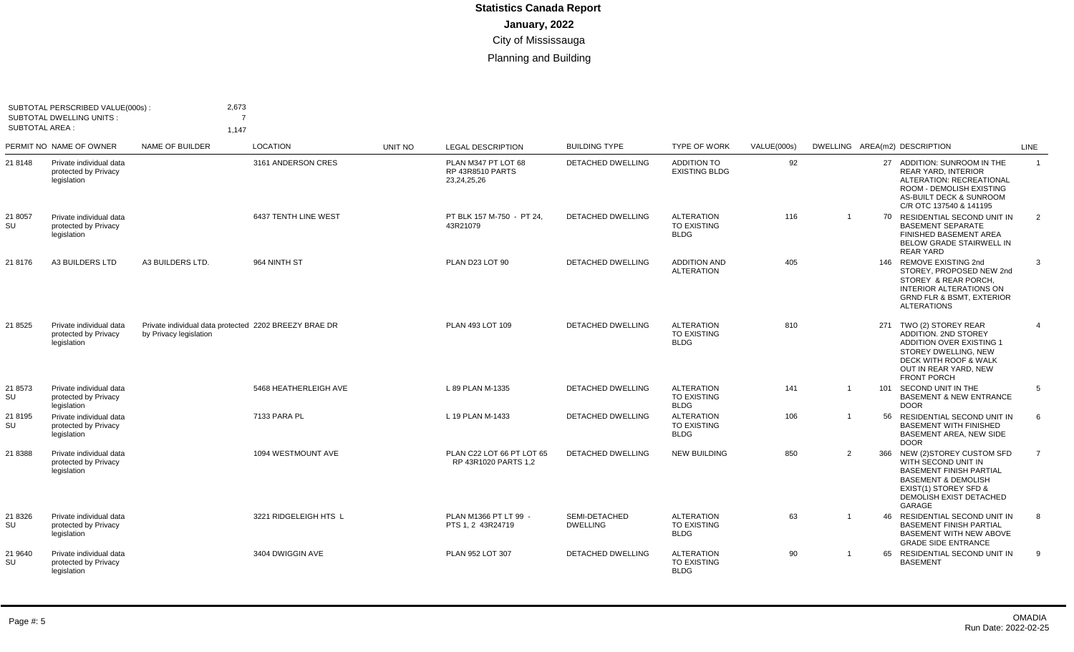| <b>SUBTOTAL AREA:</b> | SUBTOTAL PERSCRIBED VALUE(000s) :<br><b>SUBTOTAL DWELLING UNITS:</b> | 2,673<br>7<br>1.147                                                             |                       |         |                                                               |                                  |                                                        |             |                |    |                                                                                                                                                                                           |                |
|-----------------------|----------------------------------------------------------------------|---------------------------------------------------------------------------------|-----------------------|---------|---------------------------------------------------------------|----------------------------------|--------------------------------------------------------|-------------|----------------|----|-------------------------------------------------------------------------------------------------------------------------------------------------------------------------------------------|----------------|
|                       | PERMIT NO NAME OF OWNER                                              | <b>NAME OF BUILDER</b>                                                          | <b>LOCATION</b>       | UNIT NO | <b>LEGAL DESCRIPTION</b>                                      | <b>BUILDING TYPE</b>             | <b>TYPE OF WORK</b>                                    | VALUE(000s) |                |    | DWELLING AREA(m2) DESCRIPTION                                                                                                                                                             | <b>LINE</b>    |
| 21 8148               | Private individual data<br>protected by Privacy<br>legislation       |                                                                                 | 3161 ANDERSON CRES    |         | PLAN M347 PT LOT 68<br><b>RP 43R8510 PARTS</b><br>23,24,25,26 | <b>DETACHED DWELLING</b>         | <b>ADDITION TO</b><br><b>EXISTING BLDG</b>             | 92          |                |    | 27 ADDITION: SUNROOM IN THE<br><b>REAR YARD, INTERIOR</b><br>ALTERATION: RECREATIONAL<br>ROOM - DEMOLISH EXISTING<br>AS-BUILT DECK & SUNROOM<br>C/R OTC 137540 & 141195                   | $\overline{1}$ |
| 21 8057<br>SU         | Private individual data<br>protected by Privacy<br>legislation       |                                                                                 | 6437 TENTH LINE WEST  |         | PT BLK 157 M-750 - PT 24,<br>43R21079                         | <b>DETACHED DWELLING</b>         | <b>ALTERATION</b><br><b>TO EXISTING</b><br><b>BLDG</b> | 116         | $\overline{1}$ |    | 70 RESIDENTIAL SECOND UNIT IN<br><b>BASEMENT SEPARATE</b><br>FINISHED BASEMENT AREA<br><b>BELOW GRADE STAIRWELL IN</b><br><b>REAR YARD</b>                                                | 2              |
| 21 8176               | <b>A3 BUILDERS LTD</b>                                               | A3 BUILDERS LTD.                                                                | 964 NINTH ST          |         | PLAN D23 LOT 90                                               | <b>DETACHED DWELLING</b>         | <b>ADDITION AND</b><br><b>ALTERATION</b>               | 405         |                |    | 146 REMOVE EXISTING 2nd<br>STOREY. PROPOSED NEW 2nd<br>STOREY & REAR PORCH<br><b>INTERIOR ALTERATIONS ON</b><br><b>GRND FLR &amp; BSMT, EXTERIOR</b><br><b>ALTERATIONS</b>                | 3              |
| 21 8525               | Private individual data<br>protected by Privacy<br>legislation       | Private individual data protected 2202 BREEZY BRAE DR<br>by Privacy legislation |                       |         | PLAN 493 LOT 109                                              | <b>DETACHED DWELLING</b>         | <b>ALTERATION</b><br><b>TO EXISTING</b><br><b>BLDG</b> | 810         |                |    | 271 TWO (2) STOREY REAR<br><b>ADDITION, 2ND STOREY</b><br><b>ADDITION OVER EXISTING 1</b><br>STOREY DWELLING, NEW<br>DECK WITH ROOF & WALK<br>OUT IN REAR YARD. NEW<br><b>FRONT PORCH</b> | $\overline{4}$ |
| 21 8573<br>SU         | Private individual data<br>protected by Privacy<br>legislation       |                                                                                 | 5468 HEATHERLEIGH AVE |         | L 89 PLAN M-1335                                              | DETACHED DWELLING                | <b>ALTERATION</b><br><b>TO EXISTING</b><br><b>BLDG</b> | 141         | $\overline{1}$ |    | 101 SECOND UNIT IN THE<br><b>BASEMENT &amp; NEW ENTRANCE</b><br><b>DOOR</b>                                                                                                               | 5              |
| 21 8195<br>SU         | Private individual data<br>protected by Privacy<br>legislation       |                                                                                 | 7133 PARA PL          |         | L 19 PLAN M-1433                                              | <b>DETACHED DWELLING</b>         | <b>ALTERATION</b><br><b>TO EXISTING</b><br><b>BLDG</b> | 106         |                |    | 56 RESIDENTIAL SECOND UNIT IN<br><b>BASEMENT WITH FINISHED</b><br>BASEMENT AREA, NEW SIDE<br><b>DOOR</b>                                                                                  | 6              |
| 21 8388               | Private individual data<br>protected by Privacy<br>legislation       |                                                                                 | 1094 WESTMOUNT AVE    |         | PLAN C22 LOT 66 PT LOT 65<br>RP 43R1020 PARTS 1,2             | DETACHED DWELLING                | <b>NEW BUILDING</b>                                    | 850         | 2              |    | 366 NEW (2) STOREY CUSTOM SFD<br>WITH SECOND UNIT IN<br><b>BASEMENT FINISH PARTIAL</b><br><b>BASEMENT &amp; DEMOLISH</b><br>EXIST(1) STOREY SFD &<br>DEMOLISH EXIST DETACHED<br>GARAGE    | $\overline{7}$ |
| 21 8326<br>SU         | Private individual data<br>protected by Privacy<br>legislation       |                                                                                 | 3221 RIDGELEIGH HTS L |         | PLAN M1366 PT LT 99 -<br>PTS 1, 2 43R24719                    | SEMI-DETACHED<br><b>DWELLING</b> | <b>ALTERATION</b><br>TO EXISTING<br><b>BLDG</b>        | 63          | - 1            | 46 | RESIDENTIAL SECOND UNIT IN<br><b>BASEMENT FINISH PARTIAL</b><br><b>BASEMENT WITH NEW ABOVE</b><br><b>GRADE SIDE ENTRANCE</b>                                                              | 8              |
| 21 9640<br>SU         | Private individual data<br>protected by Privacy<br>legislation       |                                                                                 | 3404 DWIGGIN AVE      |         | PLAN 952 LOT 307                                              | DETACHED DWELLING                | <b>ALTERATION</b><br>TO EXISTING<br><b>BLDG</b>        | 90          |                | 65 | RESIDENTIAL SECOND UNIT IN<br><b>BASEMENT</b>                                                                                                                                             | 9              |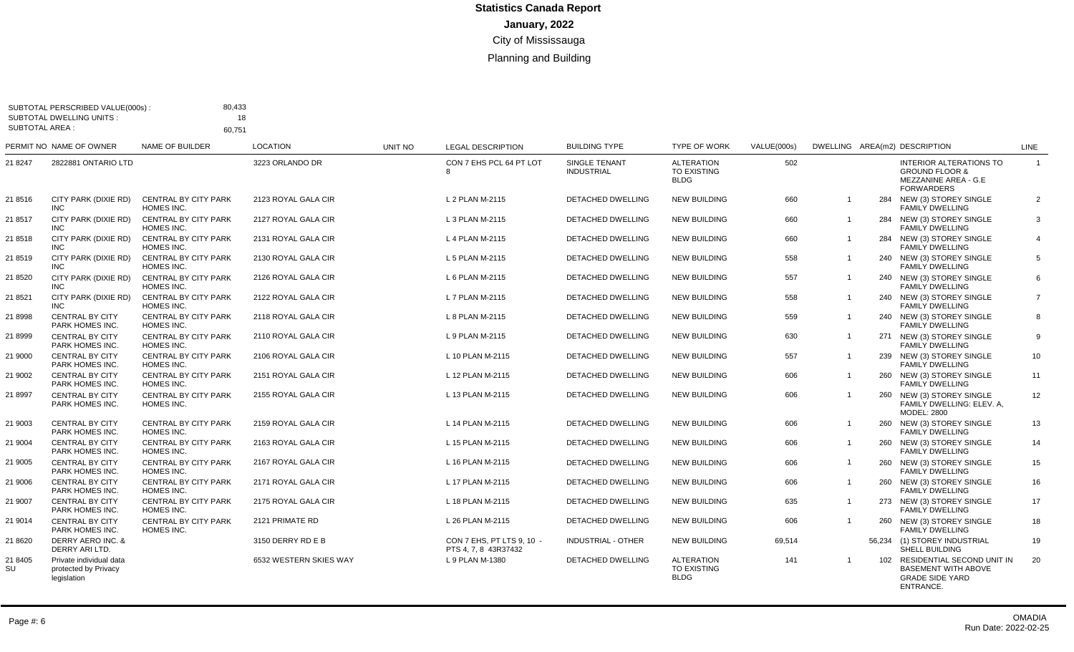| SUBTOTAL AREA : | SUBTOTAL PERSCRIBED VALUE(000s):<br><b>SUBTOTAL DWELLING UNITS:</b> | 80,433<br>18<br>60.751                    |                        |         |                                                   |                                    |                                                 |             |                |                                                                                                          |                 |
|-----------------|---------------------------------------------------------------------|-------------------------------------------|------------------------|---------|---------------------------------------------------|------------------------------------|-------------------------------------------------|-------------|----------------|----------------------------------------------------------------------------------------------------------|-----------------|
|                 | PERMIT NO NAME OF OWNER                                             | <b>NAME OF BUILDER</b>                    | <b>LOCATION</b>        | UNIT NO | <b>LEGAL DESCRIPTION</b>                          | <b>BUILDING TYPE</b>               | <b>TYPE OF WORK</b>                             | VALUE(000s) |                | DWELLING AREA(m2) DESCRIPTION                                                                            | <b>LINE</b>     |
| 21 8247         | 2822881 ONTARIO LTD                                                 |                                           | 3223 ORLANDO DR        |         | CON 7 EHS PCL 64 PT LOT<br>8                      | SINGLE TENANT<br><b>INDUSTRIAL</b> | <b>ALTERATION</b><br>TO EXISTING<br><b>BLDG</b> | 502         |                | <b>INTERIOR ALTERATIONS TO</b><br><b>GROUND FLOOR &amp;</b><br>MEZZANINE AREA - G.E<br><b>FORWARDERS</b> | $\overline{1}$  |
| 21 8516         | CITY PARK (DIXIE RD)<br><b>INC</b>                                  | <b>CENTRAL BY CITY PARK</b><br>HOMES INC. | 2123 ROYAL GALA CIR    |         | L 2 PLAN M-2115                                   | <b>DETACHED DWELLING</b>           | <b>NEW BUILDING</b>                             | 660         | $\overline{1}$ | 284 NEW (3) STOREY SINGLE<br><b>FAMILY DWELLING</b>                                                      | $\overline{2}$  |
| 21 8517         | CITY PARK (DIXIE RD)<br>INC                                         | <b>CENTRAL BY CITY PARK</b><br>HOMES INC. | 2127 ROYAL GALA CIR    |         | L 3 PLAN M-2115                                   | <b>DETACHED DWELLING</b>           | <b>NEW BUILDING</b>                             | 660         | $\overline{1}$ | 284 NEW (3) STOREY SINGLE<br><b>FAMILY DWELLING</b>                                                      | 3               |
| 21 8518         | CITY PARK (DIXIE RD)<br><b>INC</b>                                  | <b>CENTRAL BY CITY PARK</b><br>HOMES INC. | 2131 ROYAL GALA CIR    |         | L 4 PLAN M-2115                                   | DETACHED DWELLING                  | <b>NEW BUILDING</b>                             | 660         | $\overline{1}$ | 284 NEW (3) STOREY SINGLE<br><b>FAMILY DWELLING</b>                                                      | $\overline{4}$  |
| 21 8519         | CITY PARK (DIXIE RD)<br><b>INC</b>                                  | <b>CENTRAL BY CITY PARK</b><br>HOMES INC. | 2130 ROYAL GALA CIR    |         | L 5 PLAN M-2115                                   | DETACHED DWELLING                  | <b>NEW BUILDING</b>                             | 558         | $\overline{1}$ | 240 NEW (3) STOREY SINGLE<br><b>FAMILY DWELLING</b>                                                      | 5               |
| 21 8520         | CITY PARK (DIXIE RD)<br><b>INC</b>                                  | <b>CENTRAL BY CITY PARK</b><br>HOMES INC. | 2126 ROYAL GALA CIR    |         | L 6 PLAN M-2115                                   | <b>DETACHED DWELLING</b>           | <b>NEW BUILDING</b>                             | 557         | -1             | 240 NEW (3) STOREY SINGLE<br><b>FAMILY DWELLING</b>                                                      | 6               |
| 21 8521         | CITY PARK (DIXIE RD)<br><b>INC</b>                                  | <b>CENTRAL BY CITY PARK</b><br>HOMES INC. | 2122 ROYAL GALA CIR    |         | L 7 PLAN M-2115                                   | <b>DETACHED DWELLING</b>           | <b>NEW BUILDING</b>                             | 558         | $\overline{1}$ | 240 NEW (3) STOREY SINGLE<br><b>FAMILY DWELLING</b>                                                      | $\overline{7}$  |
| 21 8998         | <b>CENTRAL BY CITY</b><br>PARK HOMES INC.                           | <b>CENTRAL BY CITY PARK</b><br>HOMES INC. | 2118 ROYAL GALA CIR    |         | L 8 PLAN M-2115                                   | <b>DETACHED DWELLING</b>           | <b>NEW BUILDING</b>                             | 559         | -1             | 240 NEW (3) STOREY SINGLE<br><b>FAMILY DWELLING</b>                                                      | 8               |
| 21 8999         | <b>CENTRAL BY CITY</b><br>PARK HOMES INC.                           | <b>CENTRAL BY CITY PARK</b><br>HOMES INC. | 2110 ROYAL GALA CIR    |         | L 9 PLAN M-2115                                   | <b>DETACHED DWELLING</b>           | <b>NEW BUILDING</b>                             | 630         | $\overline{1}$ | 271 NEW (3) STOREY SINGLE<br><b>FAMILY DWELLING</b>                                                      | 9               |
| 21 9000         | <b>CENTRAL BY CITY</b><br>PARK HOMES INC.                           | <b>CENTRAL BY CITY PARK</b><br>HOMES INC. | 2106 ROYAL GALA CIR    |         | L 10 PLAN M-2115                                  | <b>DETACHED DWELLING</b>           | <b>NEW BUILDING</b>                             | 557         | $\overline{1}$ | 239 NEW (3) STOREY SINGLE<br><b>FAMILY DWELLING</b>                                                      | 10 <sup>°</sup> |
| 21 9002         | <b>CENTRAL BY CITY</b><br>PARK HOMES INC.                           | <b>CENTRAL BY CITY PARK</b><br>HOMES INC. | 2151 ROYAL GALA CIR    |         | L 12 PLAN M-2115                                  | <b>DETACHED DWELLING</b>           | <b>NEW BUILDING</b>                             | 606         | $\overline{1}$ | 260 NEW (3) STOREY SINGLE<br><b>FAMILY DWELLING</b>                                                      | 11              |
| 21 8997         | <b>CENTRAL BY CITY</b><br><b>PARK HOMES INC.</b>                    | CENTRAL BY CITY PARK<br>HOMES INC.        | 2155 ROYAL GALA CIR    |         | L 13 PLAN M-2115                                  | DETACHED DWELLING                  | <b>NEW BUILDING</b>                             | 606         | $\overline{1}$ | 260 NEW (3) STOREY SINGLE<br>FAMILY DWELLING: ELEV. A.<br><b>MODEL: 2800</b>                             | 12              |
| 21 9003         | <b>CENTRAL BY CITY</b><br>PARK HOMES INC.                           | <b>CENTRAL BY CITY PARK</b><br>HOMES INC. | 2159 ROYAL GALA CIR    |         | L 14 PLAN M-2115                                  | DETACHED DWELLING                  | <b>NEW BUILDING</b>                             | 606         | $\overline{1}$ | 260 NEW (3) STOREY SINGLE<br><b>FAMILY DWELLING</b>                                                      | 13              |
| 21 9004         | <b>CENTRAL BY CITY</b><br>PARK HOMES INC.                           | <b>CENTRAL BY CITY PARK</b><br>HOMES INC. | 2163 ROYAL GALA CIR    |         | L 15 PLAN M-2115                                  | DETACHED DWELLING                  | <b>NEW BUILDING</b>                             | 606         | $\overline{1}$ | 260 NEW (3) STOREY SINGLE<br><b>FAMILY DWELLING</b>                                                      | 14              |
| 21 9005         | <b>CENTRAL BY CITY</b><br>PARK HOMES INC.                           | <b>CENTRAL BY CITY PARK</b><br>HOMES INC. | 2167 ROYAL GALA CIR    |         | L 16 PLAN M-2115                                  | <b>DETACHED DWELLING</b>           | <b>NEW BUILDING</b>                             | 606         | $\mathbf{1}$   | 260 NEW (3) STOREY SINGLE<br><b>FAMILY DWELLING</b>                                                      | 15              |
| 21 9006         | <b>CENTRAL BY CITY</b><br>PARK HOMES INC.                           | <b>CENTRAL BY CITY PARK</b><br>HOMES INC. | 2171 ROYAL GALA CIR    |         | L 17 PLAN M-2115                                  | DETACHED DWELLING                  | <b>NEW BUILDING</b>                             | 606         | $\overline{1}$ | 260 NEW (3) STOREY SINGLE<br><b>FAMILY DWELLING</b>                                                      | 16              |
| 21 9007         | <b>CENTRAL BY CITY</b><br>PARK HOMES INC.                           | <b>CENTRAL BY CITY PARK</b><br>HOMES INC. | 2175 ROYAL GALA CIR    |         | L 18 PLAN M-2115                                  | <b>DETACHED DWELLING</b>           | <b>NEW BUILDING</b>                             | 635         | -1             | 273 NEW (3) STOREY SINGLE<br><b>FAMILY DWELLING</b>                                                      | 17              |
| 21 9014         | <b>CENTRAL BY CITY</b><br>PARK HOMES INC.                           | <b>CENTRAL BY CITY PARK</b><br>HOMES INC. | 2121 PRIMATE RD        |         | L 26 PLAN M-2115                                  | DETACHED DWELLING                  | <b>NEW BUILDING</b>                             | 606         |                | 260 NEW (3) STOREY SINGLE<br><b>FAMILY DWELLING</b>                                                      | 18              |
| 21 8620         | DERRY AERO INC. &<br>DERRY ARI LTD.                                 |                                           | 3150 DERRY RD E B      |         | CON 7 EHS. PT LTS 9. 10 -<br>PTS 4, 7, 8 43R37432 | <b>INDUSTRIAL - OTHER</b>          | <b>NEW BUILDING</b>                             | 69.514      |                | 56.234 (1) STOREY INDUSTRIAL<br><b>SHELL BUILDING</b>                                                    | 19              |
| 21 8405<br>SU   | Private individual data<br>protected by Privacy<br>legislation      |                                           | 6532 WESTERN SKIES WAY |         | L 9 PLAN M-1380                                   | DETACHED DWELLING                  | ALTERATION<br>TO EXISTING<br><b>BLDG</b>        | 141         |                | 102 RESIDENTIAL SECOND UNIT IN<br><b>BASEMENT WITH ABOVE</b><br><b>GRADE SIDE YARD</b><br>ENTRANCE.      | 20              |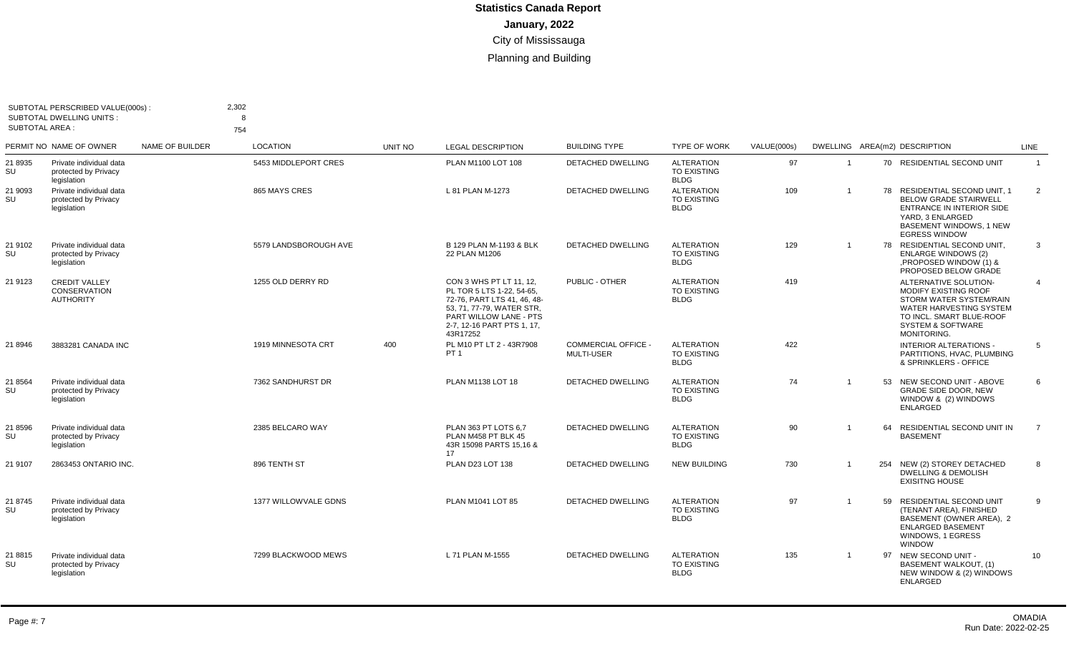| <b>SUBTOTAL AREA:</b> | SUBTOTAL PERSCRIBED VALUE(000s):<br><b>SUBTOTAL DWELLING UNITS:</b> |                        | 2,302<br>8<br>754     |                |                                                                                                                                                                                      |                                                 |                                                        |                    |                         |    |                                                                                                                                                                                |                |
|-----------------------|---------------------------------------------------------------------|------------------------|-----------------------|----------------|--------------------------------------------------------------------------------------------------------------------------------------------------------------------------------------|-------------------------------------------------|--------------------------------------------------------|--------------------|-------------------------|----|--------------------------------------------------------------------------------------------------------------------------------------------------------------------------------|----------------|
|                       | PERMIT NO NAME OF OWNER                                             | <b>NAME OF BUILDER</b> | <b>LOCATION</b>       | <b>UNIT NO</b> | <b>LEGAL DESCRIPTION</b>                                                                                                                                                             | <b>BUILDING TYPE</b>                            | <b>TYPE OF WORK</b>                                    | <b>VALUE(000s)</b> |                         |    | DWELLING AREA(m2) DESCRIPTION                                                                                                                                                  | LINE           |
| 21 8935<br>SU         | Private individual data<br>protected by Privacy<br>legislation      |                        | 5453 MIDDLEPORT CRES  |                | PLAN M1100 LOT 108                                                                                                                                                                   | <b>DETACHED DWELLING</b>                        | <b>ALTERATION</b><br><b>TO EXISTING</b><br><b>BLDG</b> | 97                 | $\overline{1}$          |    | 70 RESIDENTIAL SECOND UNIT                                                                                                                                                     | $\overline{1}$ |
| 21 9093<br>SU         | Private individual data<br>protected by Privacy<br>legislation      |                        | 865 MAYS CRES         |                | L 81 PLAN M-1273                                                                                                                                                                     | <b>DETACHED DWELLING</b>                        | <b>ALTERATION</b><br><b>TO EXISTING</b><br><b>BLDG</b> | 109                | $\overline{1}$          |    | 78 RESIDENTIAL SECOND UNIT, 1<br><b>BELOW GRADE STAIRWELL</b><br>ENTRANCE IN INTERIOR SIDE<br>YARD, 3 ENLARGED<br><b>BASEMENT WINDOWS, 1 NEW</b><br><b>EGRESS WINDOW</b>       | $\overline{2}$ |
| 21 9102<br>SU         | Private individual data<br>protected by Privacy<br>legislation      |                        | 5579 LANDSBOROUGH AVE |                | B 129 PLAN M-1193 & BLK<br>22 PLAN M1206                                                                                                                                             | <b>DETACHED DWELLING</b>                        | <b>ALTERATION</b><br><b>TO EXISTING</b><br><b>BLDG</b> | 129                | $\overline{1}$          |    | 78 RESIDENTIAL SECOND UNIT,<br><b>ENLARGE WINDOWS (2)</b><br>PROPOSED WINDOW (1) &<br>PROPOSED BELOW GRADE                                                                     | $\mathbf{3}$   |
| 21 9123               | <b>CREDIT VALLEY</b><br><b>CONSERVATION</b><br><b>AUTHORITY</b>     |                        | 1255 OLD DERRY RD     |                | CON 3 WHS PT LT 11, 12.<br>PL TOR 5 LTS 1-22, 54-65.<br>72-76, PART LTS 41, 46, 48-<br>53. 71. 77-79. WATER STR.<br>PART WILLOW LANE - PTS<br>2-7, 12-16 PART PTS 1, 17,<br>43R17252 | PUBLIC - OTHER                                  | <b>ALTERATION</b><br><b>TO EXISTING</b><br><b>BLDG</b> | 419                |                         |    | ALTERNATIVE SOLUTION-<br>MODIFY EXISTING ROOF<br>STORM WATER SYSTEM/RAIN<br>WATER HARVESTING SYSTEM<br>TO INCL. SMART BLUE-ROOF<br><b>SYSTEM &amp; SOFTWARE</b><br>MONITORING. | $\overline{4}$ |
| 21 8946               | 3883281 CANADA INC                                                  |                        | 1919 MINNESOTA CRT    | 400            | PL M10 PT LT 2 - 43R7908<br>PT                                                                                                                                                       | <b>COMMERCIAL OFFICE -</b><br><b>MULTI-USER</b> | <b>ALTERATION</b><br><b>TO EXISTING</b><br><b>BLDG</b> | 422                |                         |    | <b>INTERIOR ALTERATIONS -</b><br>PARTITIONS, HVAC, PLUMBING<br>& SPRINKLERS - OFFICE                                                                                           | -5             |
| 21 8564<br>SU         | Private individual data<br>protected by Privacy<br>legislation      |                        | 7362 SANDHURST DR     |                | PLAN M1138 LOT 18                                                                                                                                                                    | <b>DETACHED DWELLING</b>                        | <b>ALTERATION</b><br><b>TO EXISTING</b><br><b>BLDG</b> | 74                 | $\overline{1}$          | 53 | NEW SECOND UNIT - ABOVE<br><b>GRADE SIDE DOOR. NEW</b><br>WINDOW & (2) WINDOWS<br><b>ENLARGED</b>                                                                              | 6              |
| 21 8596<br>SU         | Private individual data<br>protected by Privacy<br>legislation      |                        | 2385 BELCARO WAY      |                | PLAN 363 PT LOTS 6.7<br>PLAN M458 PT BLK 45<br>43R 15098 PARTS 15,16 &<br>17                                                                                                         | <b>DETACHED DWELLING</b>                        | <b>ALTERATION</b><br><b>TO EXISTING</b><br><b>BLDG</b> | 90                 | $\overline{\mathbf{1}}$ | 64 | RESIDENTIAL SECOND UNIT IN<br><b>BASEMENT</b>                                                                                                                                  | $\overline{7}$ |
| 21 9107               | 2863453 ONTARIO INC.                                                |                        | 896 TENTH ST          |                | PLAN D23 LOT 138                                                                                                                                                                     | <b>DETACHED DWELLING</b>                        | <b>NEW BUILDING</b>                                    | 730                | $\overline{1}$          |    | 254 NEW (2) STOREY DETACHED<br><b>DWELLING &amp; DEMOLISH</b><br><b>EXISITNG HOUSE</b>                                                                                         | 8              |
| 21 8745<br><b>SU</b>  | Private individual data<br>protected by Privacy<br>legislation      |                        | 1377 WILLOWVALE GDNS  |                | PLAN M1041 LOT 85                                                                                                                                                                    | DETACHED DWELLING                               | <b>ALTERATION</b><br><b>TO EXISTING</b><br><b>BLDG</b> | 97                 | $\overline{\mathbf{1}}$ | 59 | RESIDENTIAL SECOND UNIT<br>(TENANT AREA), FINISHED<br>BASEMENT (OWNER AREA), 2<br><b>ENLARGED BASEMENT</b><br>WINDOWS, 1 EGRESS<br><b>WINDOW</b>                               | 9              |
| 21 8815<br>SU         | Private individual data<br>protected by Privacy<br>legislation      |                        | 7299 BLACKWOOD MEWS   |                | L 71 PLAN M-1555                                                                                                                                                                     | DETACHED DWELLING                               | <b>ALTERATION</b><br><b>TO EXISTING</b><br><b>BLDG</b> | 135                | $\overline{1}$          | 97 | NEW SECOND UNIT -<br><b>BASEMENT WALKOUT, (1)</b><br>NEW WINDOW & (2) WINDOWS<br><b>ENLARGED</b>                                                                               | 10             |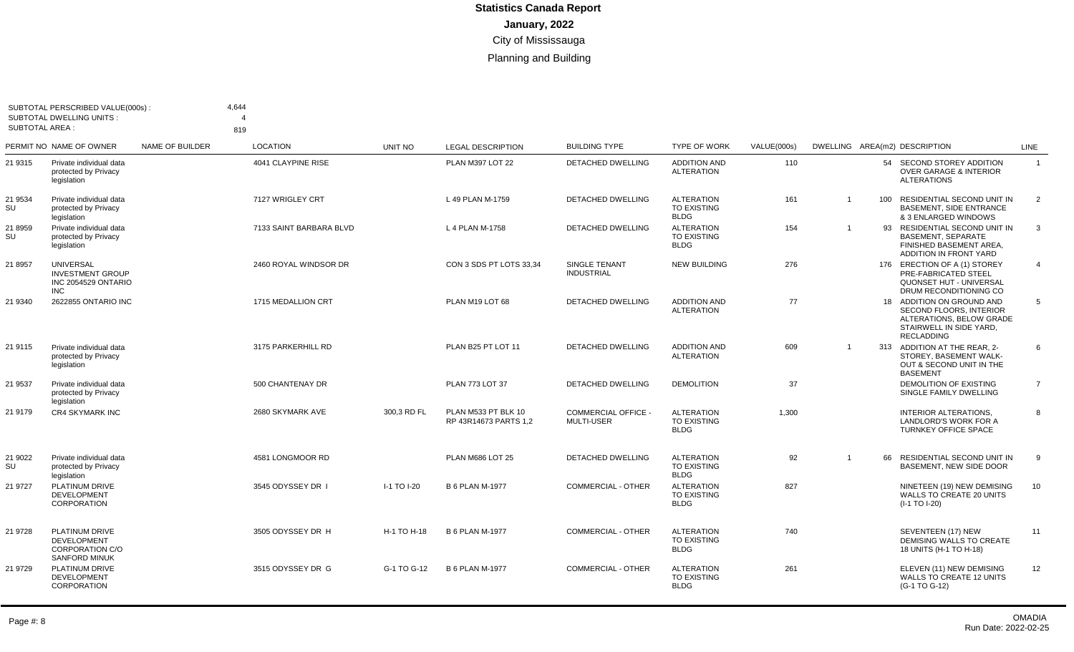| <b>SUBTOTAL AREA:</b> | SUBTOTAL PERSCRIBED VALUE(000s):<br>SUBTOTAL DWELLING UNITS:                           |                 | 4,644<br>4<br>819       |             |                                              |                                           |                                                        |             |                |     |                                                                                                                                  |                |
|-----------------------|----------------------------------------------------------------------------------------|-----------------|-------------------------|-------------|----------------------------------------------|-------------------------------------------|--------------------------------------------------------|-------------|----------------|-----|----------------------------------------------------------------------------------------------------------------------------------|----------------|
|                       | PERMIT NO NAME OF OWNER                                                                | NAME OF BUILDER | <b>LOCATION</b>         | UNIT NO     | <b>LEGAL DESCRIPTION</b>                     | <b>BUILDING TYPE</b>                      | <b>TYPE OF WORK</b>                                    | VALUE(000s) |                |     | DWELLING AREA(m2) DESCRIPTION                                                                                                    | <b>LINE</b>    |
| 21 9315               | Private individual data<br>protected by Privacy<br>legislation                         |                 | 4041 CLAYPINE RISE      |             | PLAN M397 LOT 22                             | DETACHED DWELLING                         | <b>ADDITION AND</b><br><b>ALTERATION</b>               | 110         |                |     | 54 SECOND STOREY ADDITION<br><b>OVER GARAGE &amp; INTERIOR</b><br><b>ALTERATIONS</b>                                             | $\overline{1}$ |
| 21 9534<br>SU         | Private individual data<br>protected by Privacy<br>legislation                         |                 | 7127 WRIGLEY CRT        |             | L 49 PLAN M-1759                             | <b>DETACHED DWELLING</b>                  | <b>ALTERATION</b><br><b>TO EXISTING</b><br><b>BLDG</b> | 161         | $\overline{1}$ | 100 | RESIDENTIAL SECOND UNIT IN<br><b>BASEMENT, SIDE ENTRANCE</b><br>& 3 ENLARGED WINDOWS                                             | 2              |
| 21 8959<br>SU         | Private individual data<br>protected by Privacy<br>legislation                         |                 | 7133 SAINT BARBARA BLVD |             | L 4 PLAN M-1758                              | DETACHED DWELLING                         | <b>ALTERATION</b><br>TO EXISTING<br><b>BLDG</b>        | 154         | $\mathbf 1$    | 93  | RESIDENTIAL SECOND UNIT IN<br><b>BASEMENT, SEPARATE</b><br>FINISHED BASEMENT AREA.<br>ADDITION IN FRONT YARD                     | 3              |
| 21 8957               | <b>UNIVERSAL</b><br><b>INVESTMENT GROUP</b><br>INC 2054529 ONTARIO<br><b>INC</b>       |                 | 2460 ROYAL WINDSOR DR   |             | CON 3 SDS PT LOTS 33.34                      | <b>SINGLE TENANT</b><br><b>INDUSTRIAL</b> | <b>NEW BUILDING</b>                                    | 276         |                |     | 176 ERECTION OF A (1) STOREY<br>PRE-FABRICATED STEEL<br>QUONSET HUT - UNIVERSAL<br>DRUM RECONDITIONING CO                        | $\overline{4}$ |
| 21 9340               | 2622855 ONTARIO INC                                                                    |                 | 1715 MEDALLION CRT      |             | PLAN M19 LOT 68                              | <b>DETACHED DWELLING</b>                  | <b>ADDITION AND</b><br><b>ALTERATION</b>               | 77          |                |     | 18 ADDITION ON GROUND AND<br>SECOND FLOORS, INTERIOR<br>ALTERATIONS, BELOW GRADE<br>STAIRWELL IN SIDE YARD,<br><b>RECLADDING</b> | 5              |
| 21 9115               | Private individual data<br>protected by Privacy<br>legislation                         |                 | 3175 PARKERHILL RD      |             | PLAN B25 PT LOT 11                           | DETACHED DWELLING                         | <b>ADDITION AND</b><br><b>ALTERATION</b>               | 609         | $\overline{1}$ |     | 313 ADDITION AT THE REAR, 2-<br>STOREY, BASEMENT WALK-<br>OUT & SECOND UNIT IN THE<br><b>BASEMENT</b>                            | 6              |
| 21 9537               | Private individual data<br>protected by Privacy<br>legislation                         |                 | 500 CHANTENAY DR        |             | <b>PLAN 773 LOT 37</b>                       | <b>DETACHED DWELLING</b>                  | <b>DEMOLITION</b>                                      | 37          |                |     | DEMOLITION OF EXISTING<br>SINGLE FAMILY DWELLING                                                                                 | $\overline{7}$ |
| 21 9179               | <b>CR4 SKYMARK INC</b>                                                                 |                 | 2680 SKYMARK AVE        | 300.3 RD FL | PLAN M533 PT BLK 10<br>RP 43R14673 PARTS 1.2 | <b>COMMERCIAL OFFICE -</b><br>MULTI-USER  | <b>ALTERATION</b><br><b>TO EXISTING</b><br><b>BLDG</b> | 1,300       |                |     | <b>INTERIOR ALTERATIONS.</b><br>LANDLORD'S WORK FOR A<br><b>TURNKEY OFFICE SPACE</b>                                             | 8              |
| 21 9022<br>SU         | Private individual data<br>protected by Privacy<br>legislation                         |                 | 4581 LONGMOOR RD        |             | PLAN M686 LOT 25                             | <b>DETACHED DWELLING</b>                  | <b>ALTERATION</b><br>TO EXISTING<br><b>BLDG</b>        | 92          | $\mathbf 1$    | 66  | RESIDENTIAL SECOND UNIT IN<br>BASEMENT, NEW SIDE DOOR                                                                            | 9              |
| 21 9727               | PLATINUM DRIVE<br><b>DEVELOPMENT</b><br><b>CORPORATION</b>                             |                 | 3545 ODYSSEY DR I       | I-1 TO I-20 | <b>B 6 PLAN M-1977</b>                       | <b>COMMERCIAL - OTHER</b>                 | <b>ALTERATION</b><br>TO EXISTING<br><b>BLDG</b>        | 827         |                |     | NINETEEN (19) NEW DEMISING<br>WALLS TO CREATE 20 UNITS<br>(I-1 TO I-20)                                                          | 10             |
| 21 9728               | PLATINUM DRIVE<br><b>DEVELOPMENT</b><br><b>CORPORATION C/O</b><br><b>SANFORD MINUK</b> |                 | 3505 ODYSSEY DR H       | H-1 TO H-18 | <b>B 6 PLAN M-1977</b>                       | <b>COMMERCIAL - OTHER</b>                 | <b>ALTERATION</b><br>TO EXISTING<br><b>BLDG</b>        | 740         |                |     | SEVENTEEN (17) NEW<br>DEMISING WALLS TO CREATE<br>18 UNITS (H-1 TO H-18)                                                         | 11             |
| 21 9729               | <b>PLATINUM DRIVE</b><br><b>DEVELOPMENT</b><br>CORPORATION                             |                 | 3515 ODYSSEY DR G       | G-1 TO G-12 | <b>B 6 PLAN M-1977</b>                       | <b>COMMERCIAL - OTHER</b>                 | <b>ALTERATION</b><br><b>TO EXISTING</b><br><b>BLDG</b> | 261         |                |     | ELEVEN (11) NEW DEMISING<br><b>WALLS TO CREATE 12 UNITS</b><br>(G-1 TO G-12)                                                     | 12             |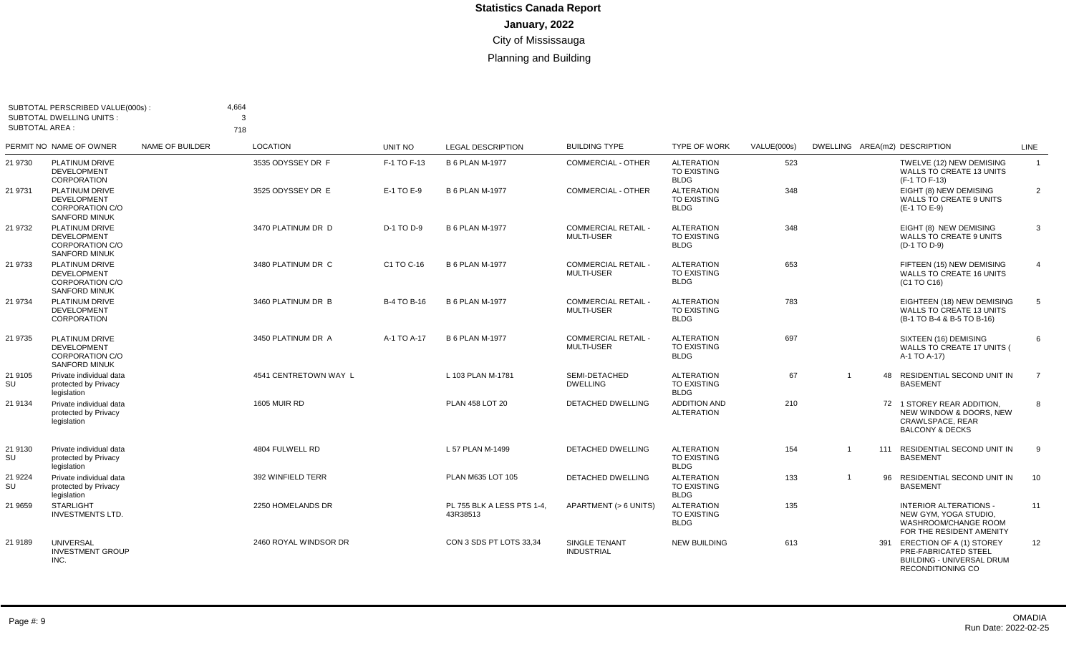| <b>SUBTOTAL AREA:</b> | SUBTOTAL PERSCRIBED VALUE(000s):<br><b>SUBTOTAL DWELLING UNITS:</b>                    |                 | 4.664<br>3<br>718     |                    |                                        |                                                 |                                                        |             |                               |                                                                                                               |                |
|-----------------------|----------------------------------------------------------------------------------------|-----------------|-----------------------|--------------------|----------------------------------------|-------------------------------------------------|--------------------------------------------------------|-------------|-------------------------------|---------------------------------------------------------------------------------------------------------------|----------------|
|                       | PERMIT NO NAME OF OWNER                                                                | NAME OF BUILDER | <b>LOCATION</b>       | <b>UNIT NO</b>     | <b>LEGAL DESCRIPTION</b>               | <b>BUILDING TYPE</b>                            | <b>TYPE OF WORK</b>                                    | VALUE(000s) | DWELLING AREA(m2) DESCRIPTION |                                                                                                               | LINE           |
| 21 9730               | <b>PLATINUM DRIVE</b><br><b>DEVELOPMENT</b><br><b>CORPORATION</b>                      |                 | 3535 ODYSSEY DR F     | F-1 TO F-13        | <b>B 6 PLAN M-1977</b>                 | <b>COMMERCIAL - OTHER</b>                       | <b>ALTERATION</b><br><b>TO EXISTING</b><br><b>BLDG</b> | 523         |                               | TWELVE (12) NEW DEMISING<br><b>WALLS TO CREATE 13 UNITS</b><br>(F-1 TO F-13)                                  | $\overline{1}$ |
| 21 9731               | PLATINUM DRIVE<br><b>DEVELOPMENT</b><br>CORPORATION C/O<br><b>SANFORD MINUK</b>        |                 | 3525 ODYSSEY DR E     | E-1 TO E-9         | <b>B 6 PLAN M-1977</b>                 | <b>COMMERCIAL - OTHER</b>                       | <b>ALTERATION</b><br><b>TO EXISTING</b><br><b>BLDG</b> | 348         |                               | EIGHT (8) NEW DEMISING<br>WALLS TO CREATE 9 UNITS<br>(E-1 TO E-9)                                             | 2              |
| 21 9732               | PLATINUM DRIVE<br><b>DEVELOPMENT</b><br>CORPORATION C/O<br><b>SANFORD MINUK</b>        |                 | 3470 PLATINUM DR D    | D-1 TO D-9         | <b>B 6 PLAN M-1977</b>                 | <b>COMMERCIAL RETAIL -</b><br><b>MULTI-USER</b> | <b>ALTERATION</b><br>TO EXISTING<br><b>BLDG</b>        | 348         |                               | EIGHT (8) NEW DEMISING<br>WALLS TO CREATE 9 UNITS<br>(D-1 TO D-9)                                             | 3              |
| 21 9733               | PLATINUM DRIVE<br><b>DEVELOPMENT</b><br><b>CORPORATION C/O</b><br><b>SANFORD MINUK</b> |                 | 3480 PLATINUM DR C    | C1 TO C-16         | <b>B 6 PLAN M-1977</b>                 | <b>COMMERCIAL RETAIL -</b><br><b>MULTI-USER</b> | <b>ALTERATION</b><br><b>TO EXISTING</b><br><b>BLDG</b> | 653         |                               | FIFTEEN (15) NEW DEMISING<br><b>WALLS TO CREATE 16 UNITS</b><br>(C1 TO C16)                                   | $\overline{4}$ |
| 21 9734               | PLATINUM DRIVE<br><b>DEVELOPMENT</b><br><b>CORPORATION</b>                             |                 | 3460 PLATINUM DR B    | <b>B-4 TO B-16</b> | <b>B 6 PLAN M-1977</b>                 | <b>COMMERCIAL RETAIL</b><br><b>MULTI-USER</b>   | <b>ALTERATION</b><br>TO EXISTING<br><b>BLDG</b>        | 783         |                               | EIGHTEEN (18) NEW DEMISING<br><b>WALLS TO CREATE 13 UNITS</b><br>(B-1 TO B-4 & B-5 TO B-16)                   | 5              |
| 21 9735               | PLATINUM DRIVE<br><b>DEVELOPMENT</b><br>CORPORATION C/O<br><b>SANFORD MINUK</b>        |                 | 3450 PLATINUM DR A    | A-1 TO A-17        | <b>B 6 PLAN M-1977</b>                 | <b>COMMERCIAL RETAIL</b><br><b>MULTI-USER</b>   | <b>ALTERATION</b><br>TO EXISTING<br><b>BLDG</b>        | 697         |                               | SIXTEEN (16) DEMISING<br>WALLS TO CREATE 17 UNITS (<br>A-1 TO A-17)                                           | 6              |
| 21 9105<br>SU         | Private individual data<br>protected by Privacy<br>legislation                         |                 | 4541 CENTRETOWN WAY L |                    | L 103 PLAN M-1781                      | SEMI-DETACHED<br><b>DWELLING</b>                | <b>ALTERATION</b><br><b>TO EXISTING</b><br><b>BLDG</b> | 67          | $\overline{1}$                | 48 RESIDENTIAL SECOND UNIT IN<br><b>BASEMENT</b>                                                              | $\overline{7}$ |
| 21 9134               | Private individual data<br>protected by Privacy<br>legislation                         |                 | <b>1605 MUIR RD</b>   |                    | PLAN 458 LOT 20                        | <b>DETACHED DWELLING</b>                        | <b>ADDITION AND</b><br><b>ALTERATION</b>               | 210         |                               | 72 1 STOREY REAR ADDITION,<br>NEW WINDOW & DOORS, NEW<br>CRAWLSPACE, REAR<br><b>BALCONY &amp; DECKS</b>       | 8              |
| 21 9130<br>SU         | Private individual data<br>protected by Privacy<br>legislation                         |                 | 4804 FULWELL RD       |                    | L 57 PLAN M-1499                       | DETACHED DWELLING                               | <b>ALTERATION</b><br>TO EXISTING<br><b>BLDG</b>        | 154         | $\overline{1}$                | 111 RESIDENTIAL SECOND UNIT IN<br><b>BASEMENT</b>                                                             | 9              |
| 21 9224<br>SU         | Private individual data<br>protected by Privacy<br>legislation                         |                 | 392 WINFIELD TERR     |                    | PLAN M635 LOT 105                      | <b>DETACHED DWELLING</b>                        | <b>ALTERATION</b><br><b>TO EXISTING</b><br><b>BLDG</b> | 133         | $\overline{1}$<br>96          | RESIDENTIAL SECOND UNIT IN<br><b>BASEMENT</b>                                                                 | 10             |
| 21 9659               | <b>STARLIGHT</b><br><b>INVESTMENTS LTD.</b>                                            |                 | 2250 HOMELANDS DR     |                    | PL 755 BLK A LESS PTS 1-4.<br>43R38513 | APARTMENT (> 6 UNITS)                           | <b>ALTERATION</b><br>TO EXISTING<br><b>BLDG</b>        | 135         |                               | INTERIOR ALTERATIONS -<br>NEW GYM, YOGA STUDIO,<br>WASHROOM/CHANGE ROOM<br>FOR THE RESIDENT AMENITY           | 11             |
| 21 9189               | <b>UNIVERSAL</b><br><b>INVESTMENT GROUP</b><br>INC.                                    |                 | 2460 ROYAL WINDSOR DR |                    | CON 3 SDS PT LOTS 33.34                | <b>SINGLE TENANT</b><br><b>INDUSTRIAL</b>       | <b>NEW BUILDING</b>                                    | 613         |                               | 391 ERECTION OF A (1) STOREY<br>PRE-FABRICATED STEEL<br><b>BUILDING - UNIVERSAL DRUM</b><br>RECONDITIONING CO | 12             |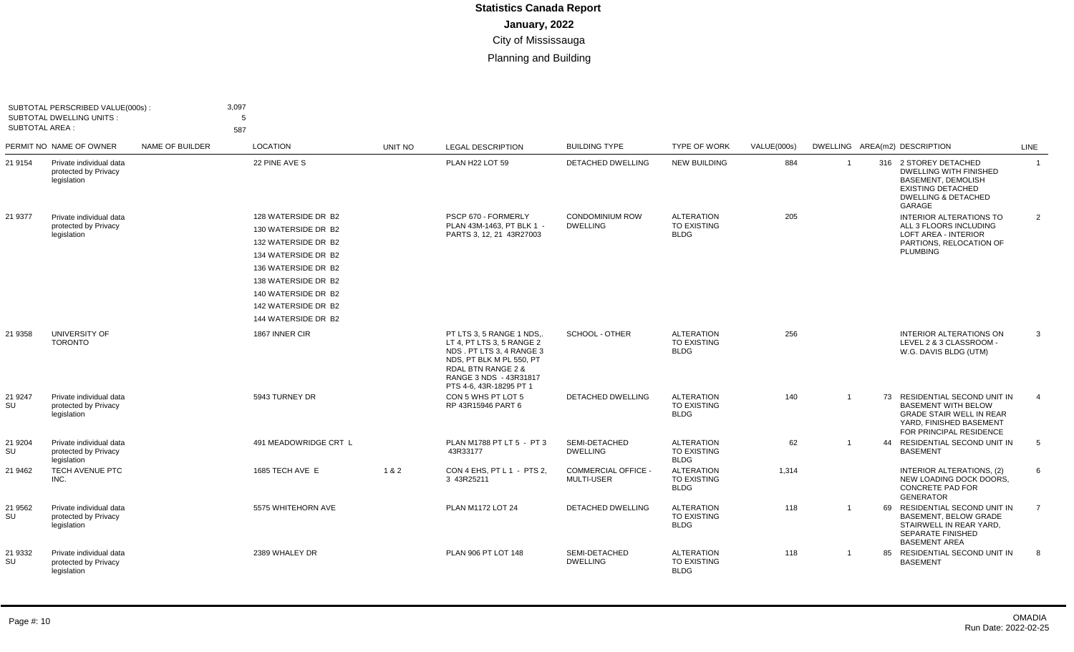| SUBTOTAL AREA :      | SUBTOTAL PERSCRIBED VALUE(000s):<br><b>SUBTOTAL DWELLING UNITS:</b> |                 | 3,097<br>5<br>587                                                                                                                                                                                           |         |                                                                                                                                                                                                     |                                                 |                                                        |             |                |                                                                                                                                                             |                |
|----------------------|---------------------------------------------------------------------|-----------------|-------------------------------------------------------------------------------------------------------------------------------------------------------------------------------------------------------------|---------|-----------------------------------------------------------------------------------------------------------------------------------------------------------------------------------------------------|-------------------------------------------------|--------------------------------------------------------|-------------|----------------|-------------------------------------------------------------------------------------------------------------------------------------------------------------|----------------|
|                      | PERMIT NO NAME OF OWNER                                             | NAME OF BUILDER | <b>LOCATION</b>                                                                                                                                                                                             | UNIT NO | <b>LEGAL DESCRIPTION</b>                                                                                                                                                                            | <b>BUILDING TYPE</b>                            | <b>TYPE OF WORK</b>                                    | VALUE(000s) |                | DWELLING AREA(m2) DESCRIPTION                                                                                                                               | LINE           |
| 21 9154              | Private individual data<br>protected by Privacy<br>legislation      |                 | 22 PINE AVE S                                                                                                                                                                                               |         | PLAN H22 LOT 59                                                                                                                                                                                     | DETACHED DWELLING                               | <b>NEW BUILDING</b>                                    | 884         | $\overline{1}$ | 316 2 STOREY DETACHED<br><b>DWELLING WITH FINISHED</b><br><b>BASEMENT, DEMOLISH</b><br><b>EXISTING DETACHED</b><br><b>DWELLING &amp; DETACHED</b><br>GARAGE | $\overline{1}$ |
| 21 9377              | Private individual data<br>protected by Privacy<br>legislation      |                 | 128 WATERSIDE DR B2<br>130 WATERSIDE DR B2<br>132 WATERSIDE DR B2<br>134 WATERSIDE DR B2<br>136 WATERSIDE DR B2<br>138 WATERSIDE DR B2<br>140 WATERSIDE DR B2<br>142 WATERSIDE DR B2<br>144 WATERSIDE DR B2 |         | PSCP 670 - FORMERLY<br>PLAN 43M-1463. PT BLK 1 -<br>PARTS 3, 12, 21 43R27003                                                                                                                        | <b>CONDOMINIUM ROW</b><br><b>DWELLING</b>       | <b>ALTERATION</b><br><b>TO EXISTING</b><br><b>BLDG</b> | 205         |                | <b>INTERIOR ALTERATIONS TO</b><br>ALL 3 FLOORS INCLUDING<br><b>LOFT AREA - INTERIOR</b><br>PARTIONS, RELOCATION OF<br><b>PLUMBING</b>                       | $\overline{2}$ |
| 21 9358              | UNIVERSITY OF<br><b>TORONTO</b>                                     |                 | 1867 INNER CIR                                                                                                                                                                                              |         | PT LTS 3, 5 RANGE 1 NDS<br>LT 4, PT LTS 3, 5 RANGE 2<br>NDS . PT LTS 3, 4 RANGE 3<br>NDS. PT BLK M PL 550. PT<br><b>RDAL BTN RANGE 2 &amp;</b><br>RANGE 3 NDS - 43R31817<br>PTS 4-6, 43R-18295 PT 1 | SCHOOL - OTHER                                  | <b>ALTERATION</b><br><b>TO EXISTING</b><br><b>BLDG</b> | 256         |                | <b>INTERIOR ALTERATIONS ON</b><br>LEVEL 2 & 3 CLASSROOM -<br>W.G. DAVIS BLDG (UTM)                                                                          | $\mathbf{3}$   |
| 21 9247<br><b>SU</b> | Private individual data<br>protected by Privacy<br>legislation      |                 | 5943 TURNEY DR                                                                                                                                                                                              |         | CON 5 WHS PT LOT 5<br>RP 43R15946 PART 6                                                                                                                                                            | <b>DETACHED DWELLING</b>                        | <b>ALTERATION</b><br><b>TO EXISTING</b><br><b>BLDG</b> | 140         |                | 73 RESIDENTIAL SECOND UNIT IN<br><b>BASEMENT WITH BELOW</b><br><b>GRADE STAIR WELL IN REAR</b><br>YARD, FINISHED BASEMENT<br>FOR PRINCIPAL RESIDENCE        |                |
| 21 9204<br>SU        | Private individual data<br>protected by Privacy<br>legislation      |                 | 491 MEADOWRIDGE CRT L                                                                                                                                                                                       |         | PLAN M1788 PT LT 5 - PT 3<br>43R33177                                                                                                                                                               | SEMI-DETACHED<br><b>DWELLING</b>                | <b>ALTERATION</b><br>TO EXISTING<br><b>BLDG</b>        | 62          |                | 44 RESIDENTIAL SECOND UNIT IN<br><b>BASEMENT</b>                                                                                                            | 5              |
| 21 9462              | TECH AVENUE PTC<br>INC.                                             |                 | 1685 TECH AVE E                                                                                                                                                                                             | 1&2     | CON 4 EHS. PT L 1 - PTS 2.<br>3 43R25211                                                                                                                                                            | <b>COMMERCIAL OFFICE -</b><br><b>MULTI-USER</b> | <b>ALTERATION</b><br>TO EXISTING<br><b>BLDG</b>        | 1,314       |                | INTERIOR ALTERATIONS, (2)<br>NEW LOADING DOCK DOORS,<br><b>CONCRETE PAD FOR</b><br><b>GENERATOR</b>                                                         | 6              |
| 21 9562<br>SU        | Private individual data<br>protected by Privacy<br>legislation      |                 | 5575 WHITEHORN AVE                                                                                                                                                                                          |         | PLAN M1172 LOT 24                                                                                                                                                                                   | <b>DETACHED DWELLING</b>                        | <b>ALTERATION</b><br>TO EXISTING<br><b>BLDG</b>        | 118         | $\overline{1}$ | 69 RESIDENTIAL SECOND UNIT IN<br>BASEMENT, BELOW GRADE<br>STAIRWELL IN REAR YARD,<br><b>SEPARATE FINISHED</b><br><b>BASEMENT AREA</b>                       | $\overline{7}$ |
| 21 9332<br><b>SU</b> | Private individual data<br>protected by Privacy<br>legislation      |                 | 2389 WHALEY DR                                                                                                                                                                                              |         | PLAN 906 PT LOT 148                                                                                                                                                                                 | SEMI-DETACHED<br><b>DWELLING</b>                | <b>ALTERATION</b><br><b>TO EXISTING</b><br><b>BLDG</b> | 118         | $\overline{1}$ | 85 RESIDENTIAL SECOND UNIT IN<br><b>BASEMENT</b>                                                                                                            | -8             |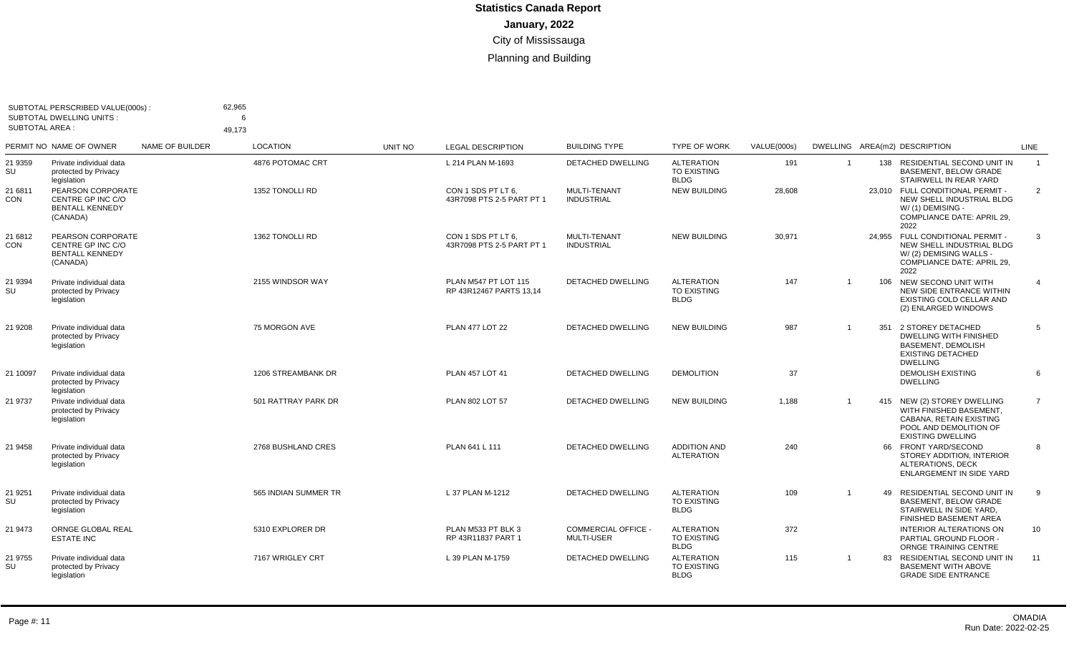| <b>SUBTOTAL AREA:</b> | SUBTOTAL PERSCRIBED VALUE(000s):<br><b>SUBTOTAL DWELLING UNITS:</b>          |                        | 62,965<br>6<br>49.173 |         |                                                 |                                               |                                                        |             |                |     |                                                                                                                                         |                 |
|-----------------------|------------------------------------------------------------------------------|------------------------|-----------------------|---------|-------------------------------------------------|-----------------------------------------------|--------------------------------------------------------|-------------|----------------|-----|-----------------------------------------------------------------------------------------------------------------------------------------|-----------------|
|                       | PERMIT NO NAME OF OWNER                                                      | <b>NAME OF BUILDER</b> | <b>LOCATION</b>       | UNIT NO | <b>LEGAL DESCRIPTION</b>                        | <b>BUILDING TYPE</b>                          | <b>TYPE OF WORK</b>                                    | VALUE(000s) |                |     | DWELLING AREA(m2) DESCRIPTION                                                                                                           | <b>LINE</b>     |
| 21 9359<br>SU         | Private individual data<br>protected by Privacy<br>legislation               |                        | 4876 POTOMAC CRT      |         | L 214 PLAN M-1693                               | <b>DETACHED DWELLING</b>                      | <b>ALTERATION</b><br>TO EXISTING<br><b>BLDG</b>        | 191         | $\overline{1}$ | 138 | RESIDENTIAL SECOND UNIT IN<br><b>BASEMENT, BELOW GRADE</b><br>STAIRWELL IN REAR YARD                                                    | $\overline{1}$  |
| 21 6811<br><b>CON</b> | PEARSON CORPORATE<br>CENTRE GP INC C/O<br><b>BENTALL KENNEDY</b><br>(CANADA) |                        | 1352 TONOLLI RD       |         | CON 1 SDS PT LT 6.<br>43R7098 PTS 2-5 PART PT 1 | MULTI-TENANT<br><b>INDUSTRIAL</b>             | <b>NEW BUILDING</b>                                    | 28,608      |                |     | 23,010 FULL CONDITIONAL PERMIT -<br>NEW SHELL INDUSTRIAL BLDG<br>W/(1) DEMISING -<br>COMPLIANCE DATE: APRIL 29,<br>2022                 | 2               |
| 21 6812<br><b>CON</b> | PEARSON CORPORATE<br>CENTRE GP INC C/O<br><b>BENTALL KENNEDY</b><br>(CANADA) |                        | 1362 TONOLLI RD       |         | CON 1 SDS PT LT 6.<br>43R7098 PTS 2-5 PART PT 1 | MULTI-TENANT<br><b>INDUSTRIAL</b>             | <b>NEW BUILDING</b>                                    | 30,971      |                |     | 24,955 FULL CONDITIONAL PERMIT -<br>NEW SHELL INDUSTRIAL BLDG<br>W/(2) DEMISING WALLS -<br>COMPLIANCE DATE: APRIL 29,<br>2022           | 3               |
| 21 9394<br>SU         | Private individual data<br>protected by Privacy<br>legislation               |                        | 2155 WINDSOR WAY      |         | PLAN M547 PT LOT 115<br>RP 43R12467 PARTS 13.14 | DETACHED DWELLING                             | <b>ALTERATION</b><br><b>TO EXISTING</b><br><b>BLDG</b> | 147         | $\overline{1}$ |     | 106 NEW SECOND UNIT WITH<br>NEW SIDE ENTRANCE WITHIN<br>EXISTING COLD CELLAR AND<br>(2) ENLARGED WINDOWS                                | $\overline{4}$  |
| 21 9 208              | Private individual data<br>protected by Privacy<br>legislation               |                        | 75 MORGON AVE         |         | <b>PLAN 477 LOT 22</b>                          | <b>DETACHED DWELLING</b>                      | <b>NEW BUILDING</b>                                    | 987         | -1             | 351 | 2 STOREY DETACHED<br><b>DWELLING WITH FINISHED</b><br><b>BASEMENT, DEMOLISH</b><br><b>EXISTING DETACHED</b><br><b>DWELLING</b>          | 5               |
| 21 10097              | Private individual data<br>protected by Privacy<br>legislation               |                        | 1206 STREAMBANK DR    |         | PLAN 457 LOT 41                                 | DETACHED DWELLING                             | <b>DEMOLITION</b>                                      | 37          |                |     | <b>DEMOLISH EXISTING</b><br><b>DWELLING</b>                                                                                             | 6               |
| 21 9737               | Private individual data<br>protected by Privacy<br>legislation               |                        | 501 RATTRAY PARK DR   |         | PLAN 802 LOT 57                                 | <b>DETACHED DWELLING</b>                      | <b>NEW BUILDING</b>                                    | 1.188       | $\overline{1}$ |     | 415 NEW (2) STOREY DWELLING<br>WITH FINISHED BASEMENT,<br>CABANA, RETAIN EXISTING<br>POOL AND DEMOLITION OF<br><b>EXISTING DWELLING</b> | $\overline{7}$  |
| 21 9458               | Private individual data<br>protected by Privacy<br>legislation               |                        | 2768 BUSHLAND CRES    |         | PLAN 641 L 111                                  | DETACHED DWELLING                             | <b>ADDITION AND</b><br><b>ALTERATION</b>               | 240         |                |     | 66 FRONT YARD/SECOND<br>STOREY ADDITION, INTERIOR<br>ALTERATIONS, DECK<br>ENLARGEMENT IN SIDE YARD                                      | 8               |
| 21 9251<br>SU         | Private individual data<br>protected by Privacy<br>legislation               |                        | 565 INDIAN SUMMER TR  |         | L 37 PLAN M-1212                                | <b>DETACHED DWELLING</b>                      | <b>ALTERATION</b><br>TO EXISTING<br><b>BLDG</b>        | 109         | $\overline{1}$ | 49  | RESIDENTIAL SECOND UNIT IN<br><b>BASEMENT, BELOW GRADE</b><br>STAIRWELL IN SIDE YARD,<br>FINISHED BASEMENT AREA                         | 9               |
| 21 9473               | ORNGE GLOBAL REAL<br><b>ESTATE INC</b>                                       |                        | 5310 EXPLORER DR      |         | PLAN M533 PT BLK 3<br>RP 43R11837 PART 1        | <b>COMMERCIAL OFFICE</b><br><b>MULTI-USER</b> | <b>ALTERATION</b><br>TO EXISTING<br><b>BLDG</b>        | 372         |                |     | <b>INTERIOR ALTERATIONS ON</b><br>PARTIAL GROUND FLOOR -<br>ORNGE TRAINING CENTRE                                                       | 10 <sup>1</sup> |
| 21 9755<br>SU         | Private individual data<br>protected by Privacy<br>legislation               |                        | 7167 WRIGLEY CRT      |         | L 39 PLAN M-1759                                | <b>DETACHED DWELLING</b>                      | <b>ALTERATION</b><br><b>TO EXISTING</b><br><b>BLDG</b> | 115         | -1             | 83  | RESIDENTIAL SECOND UNIT IN<br><b>BASEMENT WITH ABOVE</b><br><b>GRADE SIDE ENTRANCE</b>                                                  | 11              |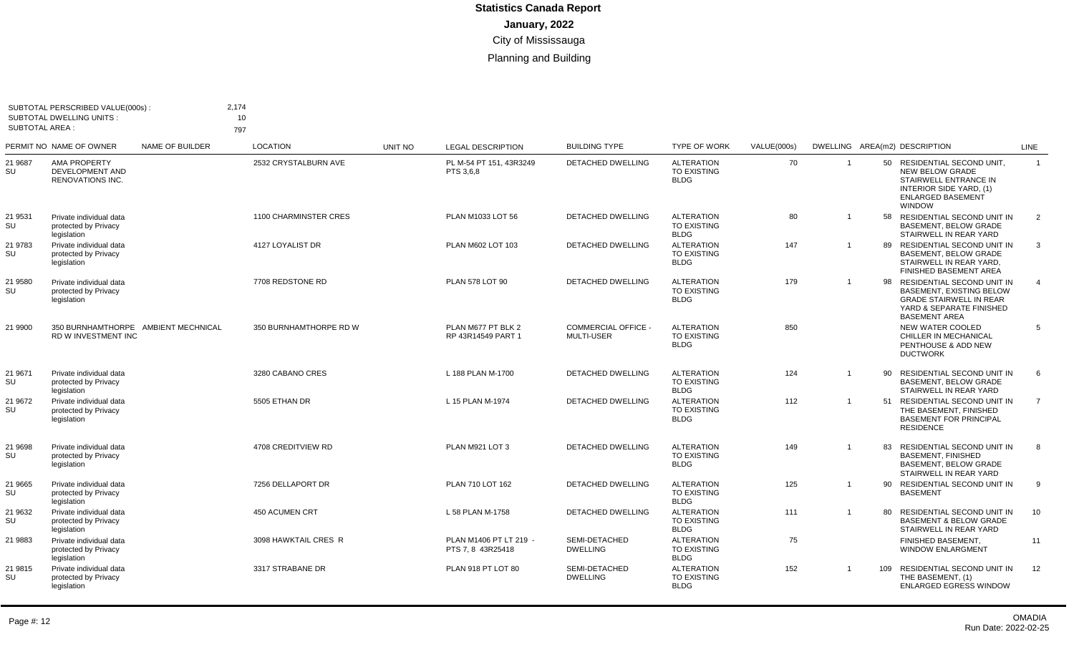| SUBTOTAL AREA : | SUBTOTAL PERSCRIBED VALUE(000s):<br><b>SUBTOTAL DWELLING UNITS:</b> |                        | 2,174<br>10<br>797           |                |                                             |                                        |                                                        |             |                |     |                                                                                                                                                        |                |
|-----------------|---------------------------------------------------------------------|------------------------|------------------------------|----------------|---------------------------------------------|----------------------------------------|--------------------------------------------------------|-------------|----------------|-----|--------------------------------------------------------------------------------------------------------------------------------------------------------|----------------|
|                 | PERMIT NO NAME OF OWNER                                             | <b>NAME OF BUILDER</b> | <b>LOCATION</b>              | <b>UNIT NO</b> | <b>LEGAL DESCRIPTION</b>                    | <b>BUILDING TYPE</b>                   | <b>TYPE OF WORK</b>                                    | VALUE(000s) |                |     | DWELLING AREA(m2) DESCRIPTION                                                                                                                          | <b>LINE</b>    |
| 21 9687<br>SU   | AMA PROPERTY<br>DEVELOPMENT AND<br>RENOVATIONS INC.                 |                        | 2532 CRYSTALBURN AVE         |                | PL M-54 PT 151, 43R3249<br>PTS 3,6,8        | DETACHED DWELLING                      | <b>ALTERATION</b><br>TO EXISTING<br><b>BLDG</b>        | 70          | $\overline{1}$ |     | 50 RESIDENTIAL SECOND UNIT,<br><b>NEW BELOW GRADE</b><br>STAIRWELL ENTRANCE IN<br>INTERIOR SIDE YARD, (1)<br><b>ENLARGED BASEMENT</b><br><b>WINDOW</b> | $\overline{1}$ |
| 21 9531<br>SU   | Private individual data<br>protected by Privacy<br>legislation      |                        | <b>1100 CHARMINSTER CRES</b> |                | PLAN M1033 LOT 56                           | <b>DETACHED DWELLING</b>               | <b>ALTERATION</b><br><b>TO EXISTING</b><br><b>BLDG</b> | 80          |                | 58  | RESIDENTIAL SECOND UNIT IN<br><b>BASEMENT, BELOW GRADE</b><br>STAIRWELL IN REAR YARD                                                                   | 2              |
| 21 9783<br>SU   | Private individual data<br>protected by Privacy<br>legislation      |                        | 4127 LOYALIST DR             |                | PLAN M602 LOT 103                           | <b>DETACHED DWELLING</b>               | <b>ALTERATION</b><br><b>TO EXISTING</b><br><b>BLDG</b> | 147         | $\overline{1}$ | 89  | RESIDENTIAL SECOND UNIT IN<br>BASEMENT, BELOW GRADE<br>STAIRWELL IN REAR YARD,<br>FINISHED BASEMENT AREA                                               | 3              |
| 21 9580<br>SU   | Private individual data<br>protected by Privacy<br>legislation      |                        | 7708 REDSTONE RD             |                | PLAN 578 LOT 90                             | DETACHED DWELLING                      | <b>ALTERATION</b><br><b>TO EXISTING</b><br><b>BLDG</b> | 179         | $\overline{1}$ | 98  | RESIDENTIAL SECOND UNIT IN<br><b>BASEMENT, EXISTING BELOW</b><br><b>GRADE STAIRWELL IN REAR</b><br>YARD & SEPARATE FINISHED<br><b>BASEMENT AREA</b>    | $\overline{4}$ |
| 21 9900         | 350 BURNHAMTHORPE AMBIENT MECHNICAL<br>RD W INVESTMENT INC          |                        | 350 BURNHAMTHORPE RD W       |                | PLAN M677 PT BLK 2<br>RP 43R14549 PART 1    | <b>COMMERCIAL OFFICE</b><br>MULTI-USER | <b>ALTERATION</b><br><b>TO EXISTING</b><br><b>BLDG</b> | 850         |                |     | NEW WATER COOLED<br>CHILLER IN MECHANICAL<br>PENTHOUSE & ADD NEW<br><b>DUCTWORK</b>                                                                    | 5              |
| 21 9671<br>SU   | Private individual data<br>protected by Privacy<br>legislation      |                        | 3280 CABANO CRES             |                | L 188 PLAN M-1700                           | <b>DETACHED DWELLING</b>               | <b>ALTERATION</b><br><b>TO EXISTING</b><br><b>BLDG</b> | 124         | $\overline{1}$ | 90  | RESIDENTIAL SECOND UNIT IN<br><b>BASEMENT, BELOW GRADE</b><br>STAIRWELL IN REAR YARD                                                                   | 6              |
| 21 9672<br>SU   | Private individual data<br>protected by Privacy<br>legislation      |                        | 5505 ETHAN DR                |                | L 15 PLAN M-1974                            | <b>DETACHED DWELLING</b>               | <b>ALTERATION</b><br><b>TO EXISTING</b><br><b>BLDG</b> | 112         | $\overline{1}$ | 51  | RESIDENTIAL SECOND UNIT IN<br>THE BASEMENT, FINISHED<br><b>BASEMENT FOR PRINCIPAL</b><br><b>RESIDENCE</b>                                              | $\overline{7}$ |
| 21 9698<br>SU   | Private individual data<br>protected by Privacy<br>legislation      |                        | 4708 CREDITVIEW RD           |                | PLAN M921 LOT 3                             | DETACHED DWELLING                      | <b>ALTERATION</b><br>TO EXISTING<br><b>BLDG</b>        | 149         | -1             | 83  | RESIDENTIAL SECOND UNIT IN<br><b>BASEMENT, FINISHED</b><br><b>BASEMENT, BELOW GRADE</b><br>STAIRWELL IN REAR YARD                                      | 8              |
| 21 9665<br>SU   | Private individual data<br>protected by Privacy<br>legislation      |                        | 7256 DELLAPORT DR            |                | PLAN 710 LOT 162                            | DETACHED DWELLING                      | <b>ALTERATION</b><br><b>TO EXISTING</b><br><b>BLDG</b> | 125         | $\overline{1}$ |     | 90 RESIDENTIAL SECOND UNIT IN<br><b>BASEMENT</b>                                                                                                       | 9              |
| 21 9632<br>SU   | Private individual data<br>protected by Privacy<br>legislation      |                        | <b>450 ACUMEN CRT</b>        |                | L 58 PLAN M-1758                            | <b>DETACHED DWELLING</b>               | <b>ALTERATION</b><br><b>TO EXISTING</b><br><b>BLDG</b> | 111         | $\overline{1}$ | 80  | <b>RESIDENTIAL SECOND UNIT IN</b><br><b>BASEMENT &amp; BELOW GRADE</b><br>STAIRWELL IN REAR YARD                                                       | 10             |
| 21 9883         | Private individual data<br>protected by Privacy<br>legislation      |                        | 3098 HAWKTAIL CRES R         |                | PLAN M1406 PT LT 219 -<br>PTS 7, 8 43R25418 | SEMI-DETACHED<br><b>DWELLING</b>       | <b>ALTERATION</b><br><b>TO EXISTING</b><br><b>BLDG</b> | 75          |                |     | FINISHED BASEMENT,<br><b>WINDOW ENLARGMENT</b>                                                                                                         | 11             |
| 21 9815<br>SU   | Private individual data<br>protected by Privacy<br>legislation      |                        | 3317 STRABANE DR             |                | PLAN 918 PT LOT 80                          | SEMI-DETACHED<br><b>DWELLING</b>       | <b>ALTERATION</b><br>TO EXISTING<br><b>BLDG</b>        | 152         | $\overline{1}$ | 109 | RESIDENTIAL SECOND UNIT IN<br>THE BASEMENT. (1)<br><b>ENLARGED EGRESS WINDOW</b>                                                                       | 12             |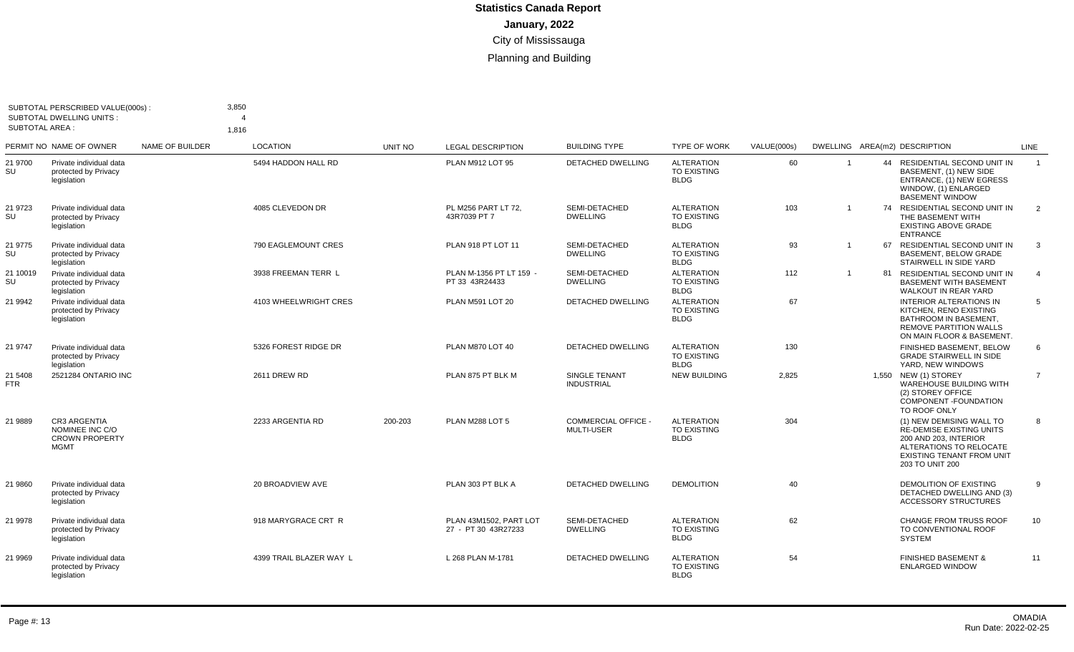| <b>SUBTOTAL AREA:</b> | SUBTOTAL PERSCRIBED VALUE(000s):<br><b>SUBTOTAL DWELLING UNITS:</b>     |                 | 3,850<br>1,816          |         |                                               |                                          |                                                        |             |                |                                                                                                                                                                        |                |
|-----------------------|-------------------------------------------------------------------------|-----------------|-------------------------|---------|-----------------------------------------------|------------------------------------------|--------------------------------------------------------|-------------|----------------|------------------------------------------------------------------------------------------------------------------------------------------------------------------------|----------------|
|                       | PERMIT NO NAME OF OWNER                                                 | NAME OF BUILDER | <b>LOCATION</b>         | UNIT NO | <b>LEGAL DESCRIPTION</b>                      | <b>BUILDING TYPE</b>                     | <b>TYPE OF WORK</b>                                    | VALUE(000s) |                | DWELLING AREA(m2) DESCRIPTION                                                                                                                                          | LINE           |
| 21 9700<br>SU         | Private individual data<br>protected by Privacy<br>legislation          |                 | 5494 HADDON HALL RD     |         | PLAN M912 LOT 95                              | DETACHED DWELLING                        | <b>ALTERATION</b><br><b>TO EXISTING</b><br><b>BLDG</b> | 60          |                | 44 RESIDENTIAL SECOND UNIT IN<br>BASEMENT, (1) NEW SIDE<br>ENTRANCE, (1) NEW EGRESS<br>WINDOW. (1) ENLARGED<br><b>BASEMENT WINDOW</b>                                  | $\overline{1}$ |
| 21 9723<br>SU         | Private individual data<br>protected by Privacy<br>legislation          |                 | 4085 CLEVEDON DR        |         | PL M256 PART LT 72.<br>43R7039 PT 7           | SEMI-DETACHED<br><b>DWELLING</b>         | <b>ALTERATION</b><br><b>TO EXISTING</b><br><b>BLDG</b> | 103         | $\overline{1}$ | 74 RESIDENTIAL SECOND UNIT IN<br>THE BASEMENT WITH<br><b>EXISTING ABOVE GRADE</b><br><b>ENTRANCE</b>                                                                   | $\overline{2}$ |
| 21 9775<br>SU         | Private individual data<br>protected by Privacy<br>legislation          |                 | 790 EAGLEMOUNT CRES     |         | PLAN 918 PT LOT 11                            | SEMI-DETACHED<br><b>DWELLING</b>         | <b>ALTERATION</b><br><b>TO EXISTING</b><br><b>BLDG</b> | 93          |                | 67 RESIDENTIAL SECOND UNIT IN<br><b>BASEMENT, BELOW GRADE</b><br>STAIRWELL IN SIDE YARD                                                                                | 3              |
| 21 10019<br>SU        | Private individual data<br>protected by Privacy<br>legislation          |                 | 3938 FREEMAN TERR L     |         | PLAN M-1356 PT LT 159 -<br>PT 33 43R24433     | SEMI-DETACHED<br><b>DWELLING</b>         | <b>ALTERATION</b><br><b>TO EXISTING</b><br><b>BLDG</b> | 112         | $\mathbf{1}$   | 81 RESIDENTIAL SECOND UNIT IN<br><b>BASEMENT WITH BASEMENT</b><br>WALKOUT IN REAR YARD                                                                                 | 4              |
| 21 9942               | Private individual data<br>protected by Privacy<br>legislation          |                 | 4103 WHEELWRIGHT CRES   |         | PLAN M591 LOT 20                              | DETACHED DWELLING                        | <b>ALTERATION</b><br><b>TO EXISTING</b><br><b>BLDG</b> | 67          |                | <b>INTERIOR ALTERATIONS IN</b><br>KITCHEN, RENO EXISTING<br>BATHROOM IN BASEMENT.<br><b>REMOVE PARTITION WALLS</b><br>ON MAIN FLOOR & BASEMENT.                        | 5              |
| 21 9747               | Private individual data<br>protected by Privacy<br>legislation          |                 | 5326 FOREST RIDGE DR    |         | PLAN M870 LOT 40                              | <b>DETACHED DWELLING</b>                 | <b>ALTERATION</b><br>TO EXISTING<br><b>BLDG</b>        | 130         |                | FINISHED BASEMENT, BELOW<br><b>GRADE STAIRWELL IN SIDE</b><br>YARD, NEW WINDOWS                                                                                        | 6              |
| 21 5408<br>FTR        | 2521284 ONTARIO INC                                                     |                 | <b>2611 DREW RD</b>     |         | PLAN 875 PT BLK M                             | SINGLE TENANT<br><b>INDUSTRIAL</b>       | <b>NEW BUILDING</b>                                    | 2,825       |                | 1,550 NEW (1) STOREY<br><b>WAREHOUSE BUILDING WITH</b><br>(2) STOREY OFFICE<br>COMPONENT - FOUNDATION<br>TO ROOF ONLY                                                  | $\overline{7}$ |
| 21 9889               | CR3 ARGENTIA<br>NOMINEE INC C/O<br><b>CROWN PROPERTY</b><br><b>MGMT</b> |                 | 2233 ARGENTIA RD        | 200-203 | PLAN M288 LOT 5                               | <b>COMMERCIAL OFFICE -</b><br>MULTI-USER | <b>ALTERATION</b><br>TO EXISTING<br><b>BLDG</b>        | 304         |                | (1) NEW DEMISING WALL TO<br><b>RE-DEMISE EXISTING UNITS</b><br>200 AND 203, INTERIOR<br>ALTERATIONS TO RELOCATE<br><b>EXISTING TENANT FROM UNIT</b><br>203 TO UNIT 200 | 8              |
| 21 9860               | Private individual data<br>protected by Privacy<br>legislation          |                 | 20 BROADVIEW AVE        |         | PLAN 303 PT BLK A                             | <b>DETACHED DWELLING</b>                 | <b>DEMOLITION</b>                                      | 40          |                | <b>DEMOLITION OF EXISTING</b><br>DETACHED DWELLING AND (3)<br><b>ACCESSORY STRUCTURES</b>                                                                              | 9              |
| 21 9978               | Private individual data<br>protected by Privacy<br>legislation          |                 | 918 MARYGRACE CRT R     |         | PLAN 43M1502. PART LOT<br>27 - PT 30 43R27233 | SEMI-DETACHED<br><b>DWELLING</b>         | <b>ALTERATION</b><br><b>TO EXISTING</b><br><b>BLDG</b> | 62          |                | <b>CHANGE FROM TRUSS ROOF</b><br>TO CONVENTIONAL ROOF<br><b>SYSTEM</b>                                                                                                 | 10             |
| 21 9969               | Private individual data<br>protected by Privacy<br>legislation          |                 | 4399 TRAIL BLAZER WAY L |         | L 268 PLAN M-1781                             | <b>DETACHED DWELLING</b>                 | <b>ALTERATION</b><br><b>TO EXISTING</b><br><b>BLDG</b> | 54          |                | <b>FINISHED BASEMENT &amp;</b><br><b>ENLARGED WINDOW</b>                                                                                                               | 11             |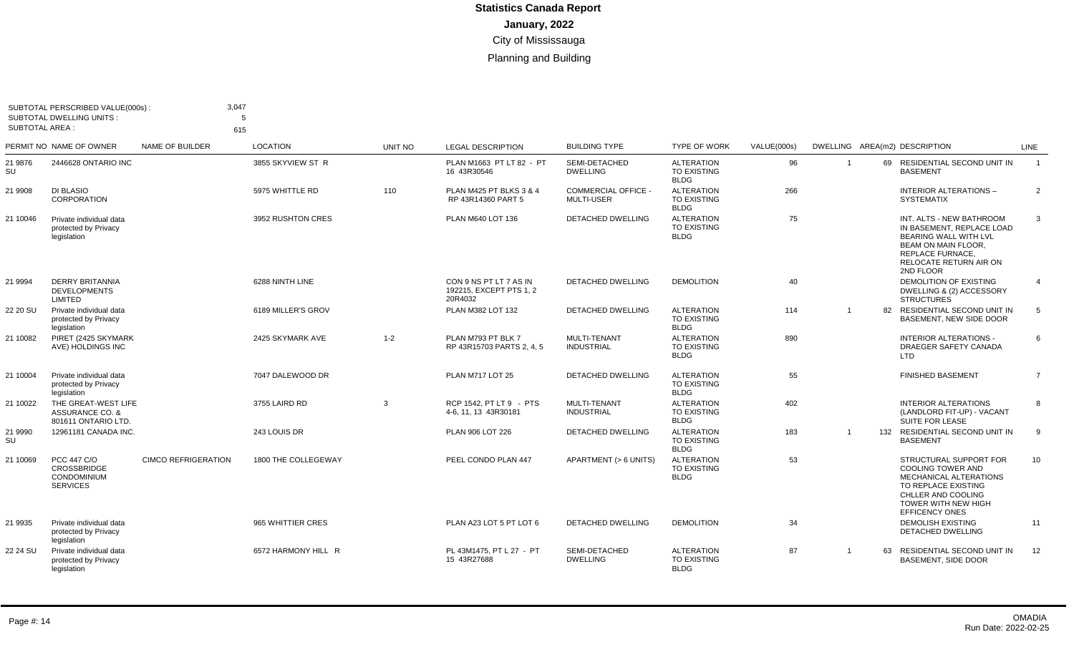| <b>SUBTOTAL AREA:</b> | SUBTOTAL PERSCRIBED VALUE(000s):<br><b>SUBTOTAL DWELLING UNITS:</b>        | 3,047                      | 5<br>615            |         |                                                              |                                                 |                                                        |             |                |    |                                                                                                                                                                                  |                |
|-----------------------|----------------------------------------------------------------------------|----------------------------|---------------------|---------|--------------------------------------------------------------|-------------------------------------------------|--------------------------------------------------------|-------------|----------------|----|----------------------------------------------------------------------------------------------------------------------------------------------------------------------------------|----------------|
|                       | PERMIT NO NAME OF OWNER                                                    | NAME OF BUILDER            | <b>LOCATION</b>     | UNIT NO | <b>LEGAL DESCRIPTION</b>                                     | <b>BUILDING TYPE</b>                            | <b>TYPE OF WORK</b>                                    | VALUE(000s) |                |    | DWELLING AREA(m2) DESCRIPTION                                                                                                                                                    | LINE           |
| 21 9876<br>SU         | 2446628 ONTARIO INC                                                        |                            | 3855 SKYVIEW ST R   |         | PLAN M1663 PT LT 82 - PT<br>16 43R30546                      | SEMI-DETACHED<br><b>DWELLING</b>                | <b>ALTERATION</b><br>TO EXISTING<br><b>BLDG</b>        | 96          |                |    | 69 RESIDENTIAL SECOND UNIT IN<br><b>BASEMENT</b>                                                                                                                                 | $\overline{1}$ |
| 21 9908               | DI BLASIO<br>CORPORATION                                                   |                            | 5975 WHITTLE RD     | 110     | PLAN M425 PT BLKS 3 & 4<br>RP 43R14360 PART 5                | <b>COMMERCIAL OFFICE -</b><br><b>MULTI-USER</b> | <b>ALTERATION</b><br><b>TO EXISTING</b><br><b>BLDG</b> | 266         |                |    | <b>INTERIOR ALTERATIONS -</b><br><b>SYSTEMATIX</b>                                                                                                                               | $\overline{2}$ |
| 21 10046              | Private individual data<br>protected by Privacy<br>legislation             |                            | 3952 RUSHTON CRES   |         | PLAN M640 LOT 136                                            | <b>DETACHED DWELLING</b>                        | <b>ALTERATION</b><br><b>TO EXISTING</b><br><b>BLDG</b> | 75          |                |    | INT. ALTS - NEW BATHROOM<br>IN BASEMENT. REPLACE LOAD<br>BEARING WALL WITH LVL<br>BEAM ON MAIN FLOOR.<br>REPLACE FURNACE,<br>RELOCATE RETURN AIR ON<br>2ND FLOOR                 | 3              |
| 21 9994               | <b>DERRY BRITANNIA</b><br><b>DEVELOPMENTS</b><br>LIMITED                   |                            | 6288 NINTH LINE     |         | CON 9 NS PT LT 7 AS IN<br>192215, EXCEPT PTS 1, 2<br>20R4032 | DETACHED DWELLING                               | <b>DEMOLITION</b>                                      | 40          |                |    | DEMOLITION OF EXISTING<br>DWELLING & (2) ACCESSORY<br><b>STRUCTURES</b>                                                                                                          | $\overline{4}$ |
| 22 20 SU              | Private individual data<br>protected by Privacy<br>legislation             |                            | 6189 MILLER'S GROV  |         | PLAN M382 LOT 132                                            | DETACHED DWELLING                               | <b>ALTERATION</b><br><b>TO EXISTING</b><br><b>BLDG</b> | 114         | $\overline{1}$ | 82 | RESIDENTIAL SECOND UNIT IN<br>BASEMENT. NEW SIDE DOOR                                                                                                                            | 5              |
| 21 10082              | PIRET (2425 SKYMARK<br>AVE) HOLDINGS INC                                   |                            | 2425 SKYMARK AVE    | $1 - 2$ | PLAN M793 PT BLK 7<br>RP 43R15703 PARTS 2, 4, 5              | MULTI-TENANT<br><b>INDUSTRIAL</b>               | <b>ALTERATION</b><br><b>TO EXISTING</b><br><b>BLDG</b> | 890         |                |    | <b>INTERIOR ALTERATIONS -</b><br>DRAEGER SAFETY CANADA<br>LTD                                                                                                                    | 6              |
| 21 10004              | Private individual data<br>protected by Privacy<br>legislation             |                            | 7047 DALEWOOD DR    |         | PLAN M717 LOT 25                                             | DETACHED DWELLING                               | <b>ALTERATION</b><br>TO EXISTING<br><b>BLDG</b>        | 55          |                |    | <b>FINISHED BASEMENT</b>                                                                                                                                                         | $\overline{7}$ |
| 21 10022              | THE GREAT-WEST LIFE<br>ASSURANCE CO. &<br>801611 ONTARIO LTD.              |                            | 3755 LAIRD RD       | 3       | RCP 1542. PT LT 9 - PTS<br>4-6, 11, 13 43R30181              | MULTI-TENANT<br><b>INDUSTRIAL</b>               | <b>ALTERATION</b><br>TO EXISTING<br><b>BLDG</b>        | 402         |                |    | <b>INTERIOR ALTERATIONS</b><br>(LANDLORD FIT-UP) - VACANT<br><b>SUITE FOR LEASE</b>                                                                                              | 8              |
| 21 9990<br>SU         | 12961181 CANADA INC.                                                       |                            | 243 LOUIS DR        |         | PLAN 906 LOT 226                                             | <b>DETACHED DWELLING</b>                        | <b>ALTERATION</b><br><b>TO EXISTING</b><br><b>BLDG</b> | 183         |                |    | 132 RESIDENTIAL SECOND UNIT IN<br><b>BASEMENT</b>                                                                                                                                | 9              |
| 21 10069              | PCC 447 C/O<br><b>CROSSBRIDGE</b><br><b>CONDOMINIUM</b><br><b>SERVICES</b> | <b>CIMCO REFRIGERATION</b> | 1800 THE COLLEGEWAY |         | PEEL CONDO PLAN 447                                          | APARTMENT (> 6 UNITS)                           | <b>ALTERATION</b><br><b>TO EXISTING</b><br><b>BLDG</b> | 53          |                |    | STRUCTURAL SUPPORT FOR<br><b>COOLING TOWER AND</b><br>MECHANICAL ALTERATIONS<br>TO REPLACE EXISTING<br>CHLLER AND COOLING<br><b>TOWER WITH NEW HIGH</b><br><b>EFFICENCY ONES</b> | 10             |
| 21 9935               | Private individual data<br>protected by Privacy<br>legislation             |                            | 965 WHITTIER CRES   |         | PLAN A23 LOT 5 PT LOT 6                                      | DETACHED DWELLING                               | <b>DEMOLITION</b>                                      | 34          |                |    | <b>DEMOLISH EXISTING</b><br>DETACHED DWELLING                                                                                                                                    | 11             |
| 22 24 SU              | Private individual data<br>protected by Privacy<br>legislation             |                            | 6572 HARMONY HILL R |         | PL 43M1475, PT L 27 - PT<br>15 43R27688                      | SEMI-DETACHED<br><b>DWELLING</b>                | <b>ALTERATION</b><br><b>TO EXISTING</b><br><b>BLDG</b> | 87          |                |    | 63 RESIDENTIAL SECOND UNIT IN<br><b>BASEMENT, SIDE DOOR</b>                                                                                                                      | 12             |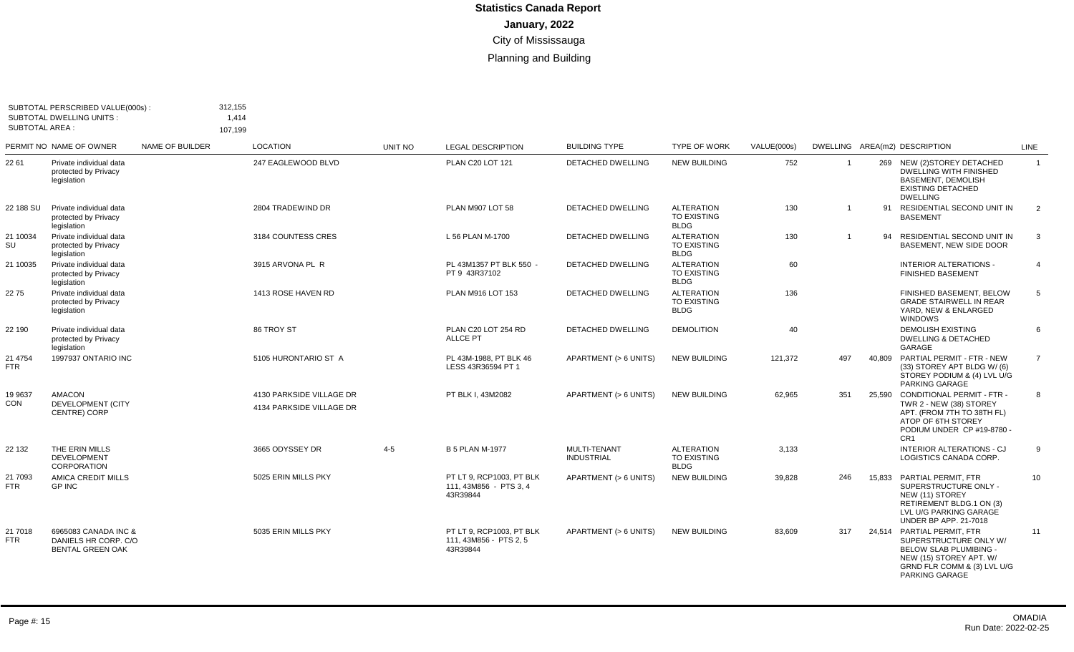| <b>SUBTOTAL AREA:</b> | SUBTOTAL PERSCRIBED VALUE(000s):<br><b>SUBTOTAL DWELLING UNITS:</b>     | 312,155<br>107,199 | 1,414                                                |         |                                                                |                                   |                                                 |             |                |        |                                                                                                                                                                   |                |
|-----------------------|-------------------------------------------------------------------------|--------------------|------------------------------------------------------|---------|----------------------------------------------------------------|-----------------------------------|-------------------------------------------------|-------------|----------------|--------|-------------------------------------------------------------------------------------------------------------------------------------------------------------------|----------------|
|                       | PERMIT NO NAME OF OWNER                                                 | NAME OF BUILDER    | LOCATION                                             | UNIT NO | <b>LEGAL DESCRIPTION</b>                                       | <b>BUILDING TYPE</b>              | <b>TYPE OF WORK</b>                             | VALUE(000s) |                |        | DWELLING AREA(m2) DESCRIPTION                                                                                                                                     | LINE           |
| 22 61                 | Private individual data<br>protected by Privacy<br>legislation          |                    | 247 EAGLEWOOD BLVD                                   |         | PLAN C20 LOT 121                                               | DETACHED DWELLING                 | <b>NEW BUILDING</b>                             | 752         | $\overline{1}$ |        | 269 NEW (2) STOREY DETACHED<br>DWELLING WITH FINISHED<br><b>BASEMENT, DEMOLISH</b><br><b>EXISTING DETACHED</b><br><b>DWELLING</b>                                 | $\overline{1}$ |
| 22 188 SU             | Private individual data<br>protected by Privacy<br>legislation          |                    | 2804 TRADEWIND DR                                    |         | PLAN M907 LOT 58                                               | <b>DETACHED DWELLING</b>          | <b>ALTERATION</b><br>TO EXISTING<br><b>BLDG</b> | 130         | $\overline{1}$ | 91     | RESIDENTIAL SECOND UNIT IN<br><b>BASEMENT</b>                                                                                                                     | $\overline{2}$ |
| 21 10034<br>SU        | Private individual data<br>protected by Privacy<br>legislation          |                    | 3184 COUNTESS CRES                                   |         | L 56 PLAN M-1700                                               | <b>DETACHED DWELLING</b>          | <b>ALTERATION</b><br>TO EXISTING<br><b>BLDG</b> | 130         | $\overline{1}$ | 94     | RESIDENTIAL SECOND UNIT IN<br>BASEMENT, NEW SIDE DOOR                                                                                                             | 3              |
| 21 10035              | Private individual data<br>protected by Privacy<br>legislation          |                    | 3915 ARVONA PL R                                     |         | PL 43M1357 PT BLK 550 -<br>PT 9 43R37102                       | DETACHED DWELLING                 | <b>ALTERATION</b><br>TO EXISTING<br><b>BLDG</b> | 60          |                |        | <b>INTERIOR ALTERATIONS -</b><br><b>FINISHED BASEMENT</b>                                                                                                         | $\overline{4}$ |
| 2275                  | Private individual data<br>protected by Privacy<br>legislation          |                    | 1413 ROSE HAVEN RD                                   |         | PLAN M916 LOT 153                                              | <b>DETACHED DWELLING</b>          | <b>ALTERATION</b><br>TO EXISTING<br><b>BLDG</b> | 136         |                |        | FINISHED BASEMENT, BELOW<br><b>GRADE STAIRWELL IN REAR</b><br>YARD. NEW & ENLARGED<br><b>WINDOWS</b>                                                              | 5              |
| 22 190                | Private individual data<br>protected by Privacy<br>legislation          |                    | 86 TROY ST                                           |         | PLAN C20 LOT 254 RD<br><b>ALLCE PT</b>                         | <b>DETACHED DWELLING</b>          | <b>DEMOLITION</b>                               | 40          |                |        | <b>DEMOLISH EXISTING</b><br><b>DWELLING &amp; DETACHED</b><br>GARAGE                                                                                              | 6              |
| 21 4754<br><b>FTR</b> | 1997937 ONTARIO INC                                                     |                    | 5105 HURONTARIO ST A                                 |         | PL 43M-1988. PT BLK 46<br>LESS 43R36594 PT 1                   | APARTMENT (> 6 UNITS)             | <b>NEW BUILDING</b>                             | 121,372     | 497            |        | 40,809 PARTIAL PERMIT - FTR - NEW<br>(33) STOREY APT BLDG W/(6)<br>STOREY PODIUM & (4) LVL U/G<br>PARKING GARAGE                                                  | $\overline{7}$ |
| 19 9637<br>CON        | <b>AMACON</b><br><b>DEVELOPMENT (CITY</b><br>CENTRE) CORP               |                    | 4130 PARKSIDE VILLAGE DR<br>4134 PARKSIDE VILLAGE DR |         | PT BLK I. 43M2082                                              | APARTMENT (> 6 UNITS)             | <b>NEW BUILDING</b>                             | 62,965      | 351            |        | 25.590 CONDITIONAL PERMIT - FTR -<br>TWR 2 - NEW (38) STOREY<br>APT. (FROM 7TH TO 38TH FL)<br>ATOP OF 6TH STOREY<br>PODIUM UNDER CP #19-8780 -<br>CR <sub>1</sub> | 8              |
| 22 132                | THE ERIN MILLS<br><b>DEVELOPMENT</b><br><b>CORPORATION</b>              |                    | 3665 ODYSSEY DR                                      | $4 - 5$ | <b>B 5 PLAN M-1977</b>                                         | MULTI-TENANT<br><b>INDUSTRIAL</b> | <b>ALTERATION</b><br>TO EXISTING<br><b>BLDG</b> | 3,133       |                |        | <b>INTERIOR ALTERATIONS - CJ</b><br>LOGISTICS CANADA CORP.                                                                                                        | 9              |
| 21 7093<br><b>FTR</b> | AMICA CREDIT MILLS<br><b>GP INC</b>                                     |                    | 5025 ERIN MILLS PKY                                  |         | PT LT 9. RCP1003. PT BLK<br>111, 43M856 - PTS 3, 4<br>43R39844 | APARTMENT (> 6 UNITS)             | <b>NEW BUILDING</b>                             | 39,828      | 246            | 15.833 | PARTIAL PERMIT, FTR<br>SUPERSTRUCTURE ONLY -<br>NEW (11) STOREY<br>RETIREMENT BLDG.1 ON (3)<br>LVL U/G PARKING GARAGE<br><b>UNDER BP APP. 21-7018</b>             | 10             |
| 21 7018<br><b>FTR</b> | 6965083 CANADA INC &<br>DANIELS HR CORP. C/O<br><b>BENTAL GREEN OAK</b> |                    | 5035 ERIN MILLS PKY                                  |         | PT LT 9. RCP1003. PT BLK<br>111, 43M856 - PTS 2, 5<br>43R39844 | APARTMENT (> 6 UNITS)             | <b>NEW BUILDING</b>                             | 83,609      | 317            |        | 24,514 PARTIAL PERMIT, FTR<br>SUPERSTRUCTURE ONLY W/<br><b>BELOW SLAB PLUMIBING -</b><br>NEW (15) STOREY APT. W/<br>GRND FLR COMM & (3) LVL U/G<br>PARKING GARAGE | 11             |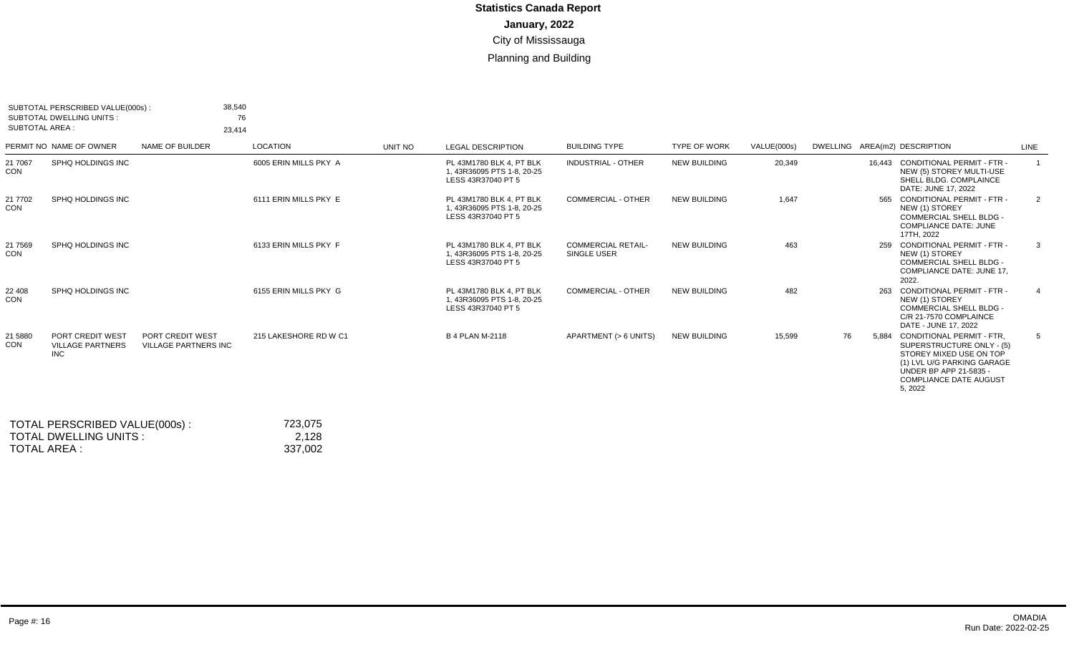| SUBTOTAL AREA :       | SUBTOTAL PERSCRIBED VALUE(000s):<br>SUBTOTAL DWELLING UNITS: | 38,540<br>23,414                                | 76                    |         |                                                                              |                                          |                     |             |    |       |                                                                                                                                                                                              |                |
|-----------------------|--------------------------------------------------------------|-------------------------------------------------|-----------------------|---------|------------------------------------------------------------------------------|------------------------------------------|---------------------|-------------|----|-------|----------------------------------------------------------------------------------------------------------------------------------------------------------------------------------------------|----------------|
|                       | PERMIT NO NAME OF OWNER                                      | NAME OF BUILDER                                 | <b>LOCATION</b>       | UNIT NO | <b>LEGAL DESCRIPTION</b>                                                     | <b>BUILDING TYPE</b>                     | <b>TYPE OF WORK</b> | VALUE(000s) |    |       | DWELLING AREA(m2) DESCRIPTION                                                                                                                                                                | LINE           |
| 21 70 67<br>CON       | SPHQ HOLDINGS INC                                            |                                                 | 6005 ERIN MILLS PKY A |         | PL 43M1780 BLK 4, PT BLK<br>1, 43R36095 PTS 1-8, 20-25<br>LESS 43R37040 PT 5 | <b>INDUSTRIAL - OTHER</b>                | <b>NEW BUILDING</b> | 20,349      |    |       | 16.443 CONDITIONAL PERMIT - FTR -<br>NEW (5) STOREY MULTI-USE<br>SHELL BLDG. COMPLAINCE<br>DATE: JUNE 17, 2022                                                                               | $\overline{1}$ |
| 21 7702<br>CON        | SPHQ HOLDINGS INC                                            |                                                 | 6111 ERIN MILLS PKY E |         | PL 43M1780 BLK 4. PT BLK<br>1.43R36095 PTS 1-8.20-25<br>LESS 43R37040 PT 5   | <b>COMMERCIAL - OTHER</b>                | <b>NEW BUILDING</b> | 1,647       |    | 565   | <b>CONDITIONAL PERMIT - FTR -</b><br>NEW (1) STOREY<br><b>COMMERCIAL SHELL BLDG -</b><br><b>COMPLIANCE DATE: JUNE</b><br>17TH, 2022                                                          | 2              |
| 21 7569<br>CON        | SPHO HOLDINGS INC                                            |                                                 | 6133 ERIN MILLS PKY F |         | PL 43M1780 BLK 4. PT BLK<br>1, 43R36095 PTS 1-8, 20-25<br>LESS 43R37040 PT 5 | <b>COMMERCIAL RETAIL-</b><br>SINGLE USER | <b>NEW BUILDING</b> | 463         |    | 259   | CONDITIONAL PERMIT - FTR -<br>NEW (1) STOREY<br><b>COMMERCIAL SHELL BLDG -</b><br><b>COMPLIANCE DATE: JUNE 17,</b><br>2022.                                                                  | 3              |
| 22 408<br>CON         | SPHO HOLDINGS INC                                            |                                                 | 6155 ERIN MILLS PKY G |         | PL 43M1780 BLK 4. PT BLK<br>1.43R36095 PTS 1-8.20-25<br>LESS 43R37040 PT 5   | COMMERCIAL - OTHER                       | <b>NEW BUILDING</b> | 482         |    |       | 263 CONDITIONAL PERMIT - FTR -<br>NEW (1) STOREY<br><b>COMMERCIAL SHELL BLDG -</b><br>C/R 21-7570 COMPLAINCE<br>DATE - JUNE 17, 2022                                                         | 4              |
| 21 5880<br><b>CON</b> | PORT CREDIT WEST<br><b>VILLAGE PARTNERS</b><br><b>INC</b>    | PORT CREDIT WEST<br><b>VILLAGE PARTNERS INC</b> | 215 LAKESHORE RD W C1 |         | <b>B 4 PLAN M-2118</b>                                                       | APARTMENT (> 6 UNITS)                    | <b>NEW BUILDING</b> | 15,599      | 76 | 5.884 | CONDITIONAL PERMIT - FTR.<br>SUPERSTRUCTURE ONLY - (5)<br>STOREY MIXED USE ON TOP<br>(1) LVL U/G PARKING GARAGE<br><b>UNDER BP APP 21-5835 -</b><br><b>COMPLIANCE DATE AUGUST</b><br>5, 2022 | 5              |
|                       |                                                              |                                                 |                       |         |                                                                              |                                          |                     |             |    |       |                                                                                                                                                                                              |                |

| TOTAL PERSCRIBED VALUE(000s): | 723.075 |
|-------------------------------|---------|
| TOTAL DWELLING UNITS:         | 2.128   |
| TOTAL AREA :                  | 337.002 |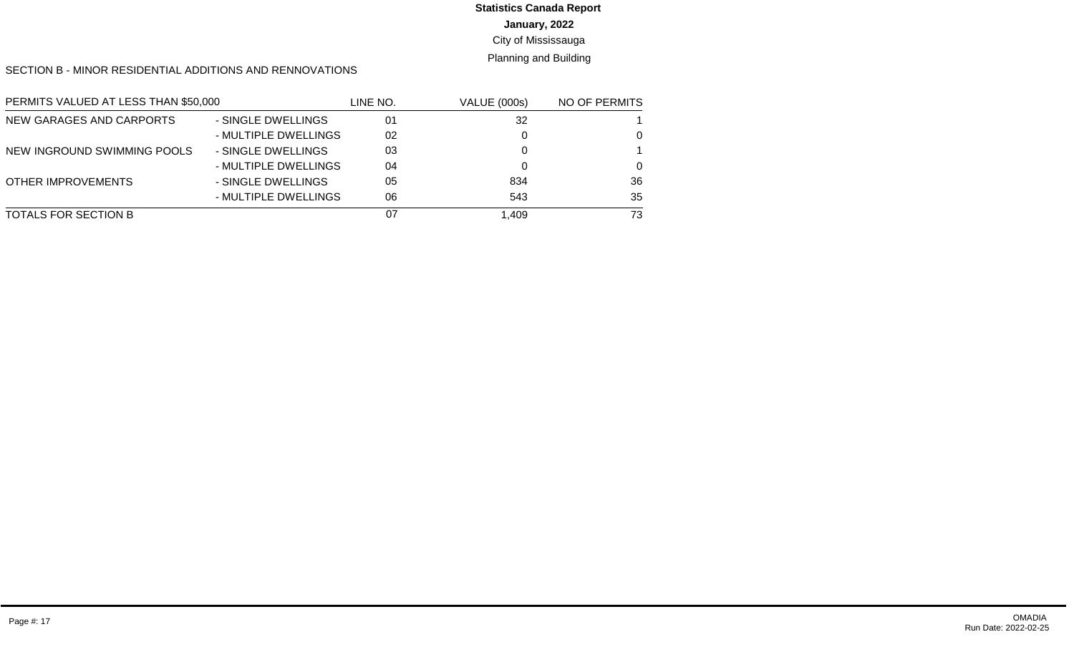# **Statistics Canada Report**

#### **January, 2022**

#### City of Mississauga

#### Planning and Building

#### SECTION B - MINOR RESIDENTIAL ADDITIONS AND RENNOVATIONS

| PERMITS VALUED AT LESS THAN \$50,000 |                      | LINE NO. | <b>VALUE (000s)</b> | NO OF PERMITS |
|--------------------------------------|----------------------|----------|---------------------|---------------|
| NEW GARAGES AND CARPORTS             | - SINGLE DWELLINGS   | 01       | 32                  |               |
|                                      | - MULTIPLE DWELLINGS | 02       |                     | $\Omega$      |
| NEW INGROUND SWIMMING POOLS          | - SINGLE DWELLINGS   | 03       |                     |               |
|                                      | - MULTIPLE DWELLINGS | 04       |                     | $\Omega$      |
| OTHER IMPROVEMENTS                   | - SINGLE DWELLINGS   | 05       | 834                 | 36            |
|                                      | - MULTIPLE DWELLINGS | 06       | 543                 | 35            |
| TOTALS FOR SECTION B                 |                      | 07       | 1.409               | 73            |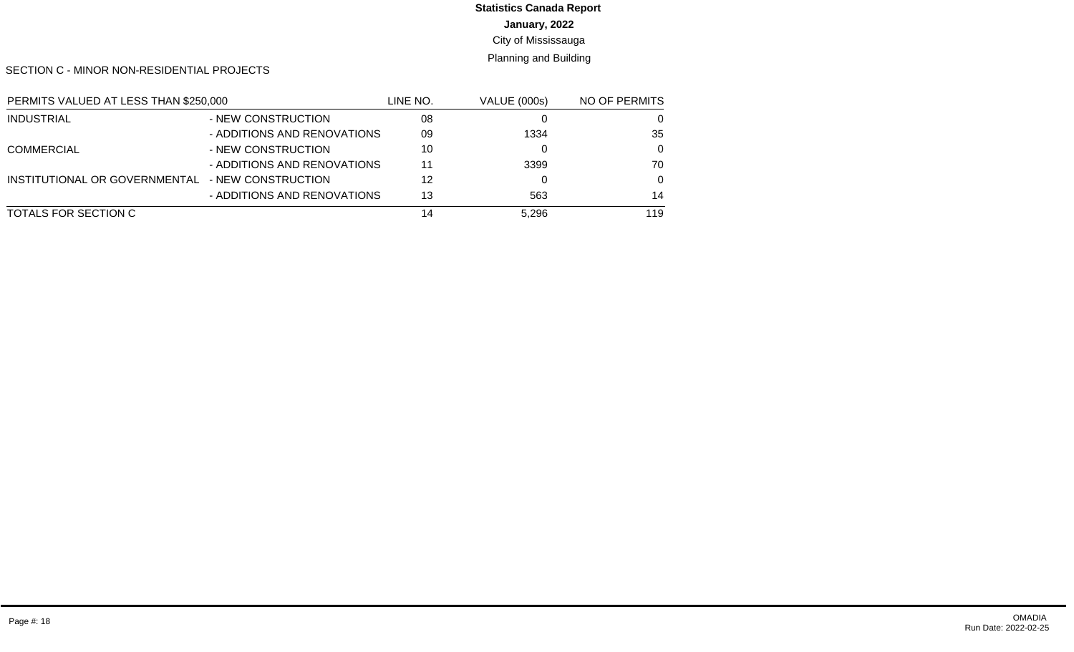## **Statistics Canada Report**

**January, 2022**

City of Mississauga

Planning and Building

SECTION C - MINOR NON-RESIDENTIAL PROJECTS

| PERMITS VALUED AT LESS THAN \$250,000 |                             | LINE NO. | <b>VALUE (000s)</b> | NO OF PERMITS |
|---------------------------------------|-----------------------------|----------|---------------------|---------------|
| <b>INDUSTRIAL</b>                     | - NEW CONSTRUCTION          | 08       |                     | 0             |
|                                       | - ADDITIONS AND RENOVATIONS | 09       | 1334                | 35            |
| <b>COMMERCIAL</b>                     | - NEW CONSTRUCTION          | 10       |                     | $\Omega$      |
|                                       | - ADDITIONS AND RENOVATIONS | 11       | 3399                | 70            |
| INSTITUTIONAL OR GOVERNMENTAL         | - NEW CONSTRUCTION          | 12       |                     | $\Omega$      |
|                                       | - ADDITIONS AND RENOVATIONS | 13       | 563                 | 14            |
| TOTALS FOR SECTION C                  |                             | 14       | 5.296               | 119           |